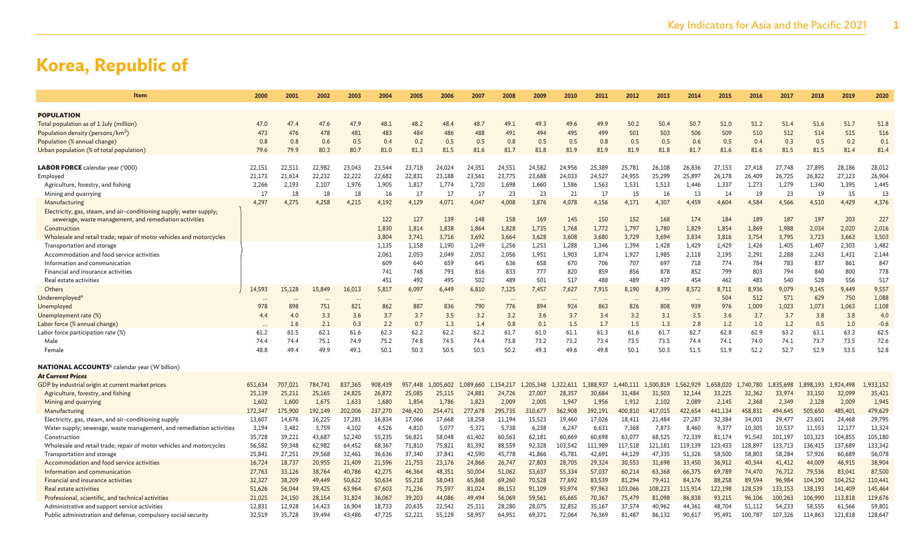| Item                                                                    | 2000    | 2001    | 2002    | 2003    | 2004           | 2005           | 2006           | 2007           | 2008             | 2009           | 2010           | 2011           | 2012           | 2013           | 2014           | 2015           | 2016           | 2017           | 2018           | 2019           | 2020         |
|-------------------------------------------------------------------------|---------|---------|---------|---------|----------------|----------------|----------------|----------------|------------------|----------------|----------------|----------------|----------------|----------------|----------------|----------------|----------------|----------------|----------------|----------------|--------------|
|                                                                         |         |         |         |         |                |                |                |                |                  |                |                |                |                |                |                |                |                |                |                |                |              |
| <b>POPULATION</b>                                                       |         |         |         |         |                |                |                |                |                  |                |                |                |                |                |                |                |                |                |                |                |              |
| Total population as of 1 July (million)                                 | 47.0    | 47.4    | 47.6    | 47.9    | 48.1           | 48.2           | 48.4           | 48.7           | 49.1             | 49.3           | 49.6           | 49.9           | 50.2           | 50.4           | 50.7           | 51.0           | 51.2           | 51.4           | 51.6           | 51.7           | 51.8         |
| Population density (persons/km <sup>2</sup> )                           | 473     | 476     | 478     | 481     | 483            | 484            | 486            | 488            | 491              | 494            | 495            | 499            | 501            | 503            | 506            | 509            | 510            | 512            | 514            | 515            | 516          |
| Population (% annual change)                                            | 0.8     | 0.8     | 0.6     | 0.5     | 0.4            | 0.2            | 0.5            | 0.5            | 0.8              | 0.5            | 0.5            | 0.8            | 0.5            | 0.5            | 0.6            | 0.5            | 0.4            | 0.3            | 0.5            | 0.2            | 0.1          |
| Urban population (% of total population)                                | 79.6    | 79.9    | 80.3    | 80.7    | 81.0           | 81.3           | 81.5           | 81.6           | 81.7             | 81.8           | 81.9           | 81.9           | 81.9           | 81.8           | 81.7           | 81.6           | 81.6           | 81.5           | 81.5           | 81.4           | 81.4         |
|                                                                         |         |         |         |         |                |                |                |                |                  |                |                |                |                |                |                |                |                |                |                |                |              |
| LABOR FORCE calendar year ('000)                                        | 22,151  | 22,511  | 22,982  | 23,043  | 23,544         | 23,718         | 24,024         | 24,351         | 24,551           | 24,582         | 24,956         | 25,389         | 25,781         | 26,108         | 26,836         | 27,153         | 27,418         | 27,748         | 27,895         | 28,186         | 28,012       |
| Employed                                                                | 21,173  | 21,614  | 22,232  | 22,222  | 22,682         | 22,831         | 23,188         | 23,561         | 23,775           | 23,688         | 24,033         | 24,527         | 24,955         | 25,299         | 25,897         | 26,178         | 26,409         | 26,725         | 26,822         | 27,123         | 26,904       |
| Agriculture, forestry, and fishing                                      | 2,266   | 2,193   | 2,107   | 1,976   | 1,905          | 1,817          | 1,774          | 1,720          | 1,698            | 1,660          | 1,586          | 1,563          | 1,531          | 1,513          | 1,446          | 1,337          | 1,273          | 1,279          | 1,340          | 1,395          | 1,445        |
| Mining and quarrying                                                    | 17      | 18      | 18      | 18      | 16             | 17             | 17             | 17             | 23               | 23             | 21             | 17             | 15             | 16             | 13             | 14             | 19             | 23             | 19             | 15             | 13           |
| Manufacturing                                                           | 4,297   | 4,275   | 4,258   | 4,215   | 4,192          | 4,129          | 4,071          | 4,047          | 4,008            | 3,876          | 4,078          | 4,156          | 4,171          | 4,307          | 4,459          | 4,604          | 4,584          | 4,566          | 4,510          | 4,429          | 4,376        |
| Electricity, gas, steam, and air-conditioning supply; water supply;     |         |         |         |         |                |                |                |                |                  |                |                |                |                |                |                |                |                |                |                |                |              |
| sewerage, waste management, and remediation activities                  |         |         |         |         | 122<br>1,830   | 127            | 139<br>1,838   | 148<br>1,864   | 158              | 169<br>1,735   | 145            | 150<br>1,772   | 152            | 168            | 174<br>1,829   | 184<br>1,854   | 189            | 187<br>1,988   | 197            | 203            | 227<br>2,016 |
| Construction                                                            |         |         |         |         |                | 1,814          |                |                | 1,828            |                | 1,768          |                | 1,797          | 1,780          |                |                | 1,869          |                | 2,034          | 2,020          | 3,503        |
| Wholesale and retail trade; repair of motor vehicles and motorcycles    |         |         |         |         | 3,804          | 3,741          | 3,716<br>1.190 | 3,692          | 3,664            | 3,628          | 3,608          | 3,680<br>1.346 | 3,729          | 3,694          | 3,834          | 3,816          | 3,754          | 3,795<br>1,405 | 3,723          | 3,663          | 1,482        |
| Transportation and storage<br>Accommodation and food service activities |         |         |         |         | 1,135<br>2,061 | 1,158<br>2,053 | 2,049          | 1,249<br>2,052 | 1,256<br>2,056   | 1,253<br>1,951 | 1,288<br>1,903 | 1,874          | 1,394<br>1,927 | 1,428<br>1,985 | 1,429<br>2,118 | 1,429<br>2,195 | 1,426<br>2,291 | 2,288          | 1,407<br>2,243 | 2,303<br>1,431 | 2,144        |
| Information and communication                                           |         |         |         |         | 609            | 640            | 659            | 645            | 636              | 658            | 670            | 706            | 707            | 697            | 718            | 774            | 784            | 783            | 837            | 861            | 847          |
| Financial and insurance activities                                      |         |         |         |         | 741            | 748            | 793            | 816            | 833              | 777            | 820            | 859            | 856            | 878            | 852            | 799            | 803            | 794            | 840            | 800            | 778          |
| Real estate activities                                                  |         |         |         |         | 451            | 492            | 495            | 502            | 489              | 501            | 517            | 488            | 489            | 437            | 454            | 462            | 483            | 540            | 528            | 556            | 517          |
| Others                                                                  | 14,593  | 15,128  | 15,849  | 16,013  | 5,817          | 6,097          | 6,449          | 6,810          | 7,125            | 7,457          | 7,627          | 7,915          | 8,190          | 8,399          | 8,572          | 8,711          | 8,936          | 9,079          | 9,145          | 9,449          | 9,557        |
| Underemployed <sup>a</sup>                                              |         |         |         |         |                |                |                |                |                  |                |                |                |                |                |                | 504            | 512            | 571            | 629            | 750            | 1,088        |
| Unemployed                                                              | 978     | 898     | 751     | 821     | 862            | 887            | 836            | 790            | $\ddotsc$<br>776 | 894            | 924            | 863            | 826            | 808            | 939            | 976            | 1,009          | 1,023          | 1,073          | 1,063          | 1,108        |
| Unemployment rate (%)                                                   | 4.4     | 4.0     | 3.3     | 3.6     | 3.7            | 3.7            | 3.5            | 3.2            | 3.2              | 3.6            | 3.7            | 3.4            | 3.2            | 3.1            | 3.5            | 3.6            | 3.7            | 3.7            | 3.8            | 3.8            | 4.0          |
| Labor force (% annual change)                                           |         | 1.6     | 2.1     | 0.3     | 2.2            | 0.7            | 1.3            | 1.4            | 0.8              | 0.1            | 1.5            | 1.7            | 1.5            | 1.3            | 2.8            | 1.2            | 1.0            | 1.2            | 0.5            | 1.0            | $-0.6$       |
| Labor force participation rate (%)                                      | 61.2    | 61.5    | 62.1    | 61.6    | 62.3           | 62.2           | 62.2           | 62.2           | 61.7             | 61.0           | 61.1           | 61.3           | 61.6           | 61.7           | 62.7           | 62.8           | 62.9           | 63.2           | 63.1           | 63.3           | 62.5         |
| Male                                                                    | 74.4    | 74.4    | 75.1    | 74.9    | 75.2           | 74.8           | 74.5           | 74.4           | 73.8             | 73.2           | 73.2           | 73.4           | 73.5           | 73.5           | 74.4           | 74.1           | 74.0           | 74.1           | 73.7           | 73.5           | 72.6         |
| Female                                                                  | 48.8    | 49.4    | 49.9    | 49.1    | 50.1           | 50.3           | 50.5           | 50.5           | 50.2             | 49.3           | 49.6           | 49.8           | 50.1           | 50.3           | 51.5           | 51.9           | 52.2           | 52.7           | 52.9           | 53.5           | 52.8         |
|                                                                         |         |         |         |         |                |                |                |                |                  |                |                |                |                |                |                |                |                |                |                |                |              |
| <b>NATIONAL ACCOUNTS</b> b calendar year (W billion)                    |         |         |         |         |                |                |                |                |                  |                |                |                |                |                |                |                |                |                |                |                |              |
| <b>At Current Prices</b>                                                |         |         |         |         |                |                |                |                |                  |                |                |                |                |                |                |                |                |                |                |                |              |
| GDP by industrial origin at current market prices                       | 651,634 | 707,021 | 784,741 | 837,365 | 908,439        | 957,448        | 1,005,602      | ,089,660       | 1,154,217        | 1,205,348      | 1,322,611      | 1,388,937      | ,440,111       | 1,500,819      | 1,562,929      | 1,658,020      | 1,740,780      | 835,698        | 1,898,193      | 1,924,498      | 1,933,152    |
| Agriculture, forestry, and fishing                                      | 25,139  | 25,211  | 25,165  | 24,825  | 26,872         | 25,085         | 25,115         | 24,881         | 24,726           | 27,007         | 28,357         | 30,684         | 31,484         | 31,503         | 32,144         | 33,225         | 32,362         | 33,974         | 33,150         | 32,099         | 35,421       |
| Mining and quarrying                                                    | 1,602   | 1,600   | 1,675   | 1,633   | 1,680          | 1,854          | 1,786          | 1,823          | 2,009            | 2,005          | 1,947          | 1,956          | 1,912          | 2,102          | 2,089          | 2,145          | 2,368          | 2,349          | 2,128          | 2,009          | 1,945        |
| Manufacturing                                                           | 172,347 | 175,900 | 192,149 | 202,006 | 237,270        | 246,420        | 254,471        | 277,678        | 295,735          | 310,677        | 362,908        | 392,191        | 400,810        | 417,015        | 422,654        | 441,134        | 458,831        | 494,645        | 505,650        | 485,401        | 479,629      |
| Electricity, gas, steam, and air-conditioning supply                    | 13,607  | 14,676  | 16,225  | 17,281  | 16,834         | 17,066         | 17,668         | 18,258         | 11,194           | 15,523         | 19,460         | 17,026         | 18,411         | 21,484         | 27,287         | 32,384         | 34,003         | 29,477         | 23,601         | 24,468         | 29,795       |
| Water supply; sewerage, waste management, and remediation activities    | 3,194   | 3,482   | 3,759   | 4,102   | 4,526          | 4,810          | 5,077          | 5,371          | 5,738            | 6,238          | 6,247          | 6,631          | 7,368          | 7,873          | 8,460          | 9,377          | 10,305         | 10,537         | 11,553         | 12,177         | 13,324       |
| Construction                                                            | 35,728  | 39,221  | 43,687  | 52,240  | 55,235         | 56,821         | 58,048         | 61,402         | 60,563           | 62,181         | 60,669         | 60,698         | 63,077         | 68,525         | 72,339         | 81,174         | 91,543         | 101,197        | 103,323        | 104,855        | 105,180      |
| Wholesale and retail trade; repair of motor vehicles and motorcycles    | 56,582  | 59,348  | 62,982  | 64,452  | 68,367         | 71,810         | 75,821         | 81,392         | 88,559           | 92,328         | 103,542        | 111,989        | 117,518        | 121,181        | 119,139        | 123,433        | 128,897        | 133,713        | 136,415        | 137,689        | 133,342      |
| Transportation and storage                                              | 25,841  | 27,251  | 29,568  | 32,461  | 36,636         | 37,340         | 37,841         | 42,590         | 45,778           | 41,866         | 45,781         | 42,691         | 44,129         | 47,335         | 51,326         | 58,500         | 58,803         | 58,284         | 57,926         | 60,689         | 56,078       |
| Accommodation and food service activities                               | 16,724  | 18,737  | 20,955  | 21,409  | 21,596         | 21,753         | 23,176         | 24,866         | 26,747           | 27,803         | 28,705         | 29,324         | 30,553         | 31,698         | 33,450         | 36,912         | 40,344         | 41,412         | 44,009         | 46,915         | 38,904       |
| Information and communication                                           | 27,763  | 33,126  | 38,764  | 40,786  | 42,275         | 46,364         | 48,351         | 50,004         | 51,062           | 53,637         | 55,334         | 57,037         | 60,214         | 63,368         | 66,375         | 69,789         | 74,470         | 76,712         | 79,536         | 83,041         | 87,500       |
| <b>Financial and insurance activities</b>                               | 32,327  | 38,209  | 49,449  | 50,622  | 50,634         | 55,218         | 58,043         | 65,868         | 69,260           | 70,528         | 77,692         | 83,539         | 81,294         | 79,411         | 84,176         | 88,258         | 89,594         | 96,984         | 104,190        | 104,252        | 110,441      |
| Real estate activities                                                  | 51,626  | 56,044  | 59,425  | 63,964  | 67,603         | 71,236         | 75,597         | 81,024         | 86,153           | 91,109         | 93,974         | 97,963         | 103,066        | 108,223        | 115,914        | 122,198        | 128,539        | 133,153        | 138,193        | 141,409        | 145,464      |
| Professional, scientific, and technical activities                      | 21,025  | 24,150  | 28,154  | 31,824  | 36,067         | 39,203         | 44,086         | 49,494         | 56,069           | 59,561         | 65,665         | 70,367         | 75,479         | 81,098         | 86,838         | 93,215         | 96,106         | 100,263        | 106,990        | 113,818        | 119,676      |
| Administrative and support service activities                           | 12,831  | 12,928  | 14,423  | 16,904  | 18,733         | 20,635         | 22,542         | 25,311         | 28,280           | 28,075         | 32,852         | 35,167         | 37,574         | 40,962         | 44,361         | 48,704         | 51,112         | 54,233         | 58,555         | 61,566         | 59,801       |
| Public administration and defense; compulsory social security           | 32,519  | 35,728  | 39,494  | 43,486  | 47,725         | 52,221         | 55,129         | 58,957         | 64,951           | 69.371         | 72,064         | 76,369         | 81,487         | 86,132         | 90,617         | 95,491         | 100,787        | 107,326        | 114,863        | 121,818        | 128,647      |
|                                                                         |         |         |         |         |                |                |                |                |                  |                |                |                |                |                |                |                |                |                |                |                |              |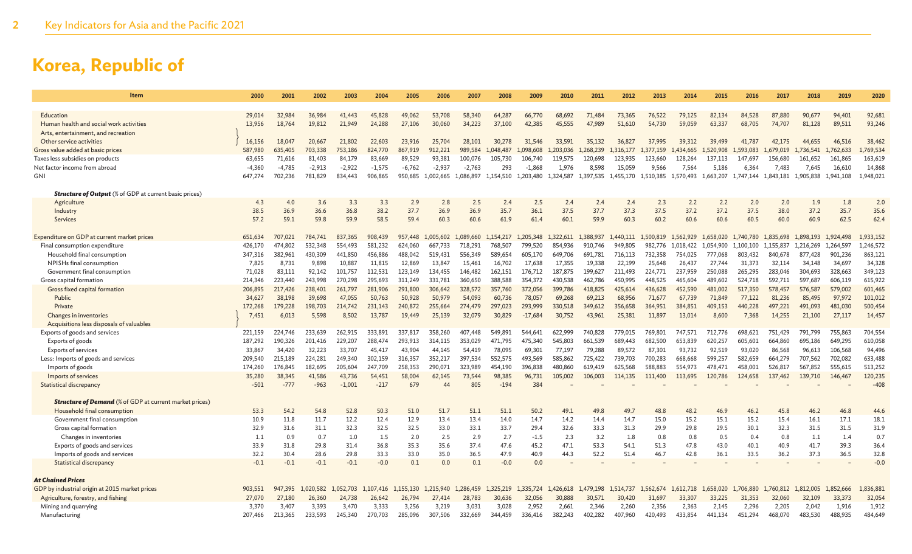| Item                                                           | 2000     | 2001     | 2002      | 2003     | 2004      | 2005      | 2006      | 2007      | 2008      | 2009      | 2010      | 2011      | 2012      | 2013      | 2014      | 2015      | 2016      | 2017      | 2018      | 2019      | 2020                  |
|----------------------------------------------------------------|----------|----------|-----------|----------|-----------|-----------|-----------|-----------|-----------|-----------|-----------|-----------|-----------|-----------|-----------|-----------|-----------|-----------|-----------|-----------|-----------------------|
|                                                                |          |          |           |          |           |           |           |           |           |           |           |           |           |           |           |           |           |           |           |           |                       |
| Education                                                      | 29,014   | 32,984   | 36,984    | 41,443   | 45,828    | 49,062    | 53,708    | 58,340    | 64,287    | 66,770    | 68,692    | 71,484    | 73,365    | 76,522    | 79,125    | 82,134    | 84,528    | 87,880    | 90,677    | 94,401    | 92,681                |
| Human health and social work activities                        | 13,956   | 18,764   | 19,812    | 21,949   | 24,288    | 27,106    | 30,060    | 34,223    | 37,100    | 42,385    | 45,555    | 47,989    | 51,610    | 54,730    | 59,059    | 63,337    | 68,705    | 74,707    | 81,128    | 89,511    | 93,246                |
| Arts, entertainment, and recreation                            |          |          |           |          |           |           |           |           |           |           |           |           |           |           |           |           |           |           |           |           |                       |
| Other service activities                                       | 16,156   | 18,047   | 20,667    | 21,802   | 22,603    | 23,916    | 25,704    | 28,101    | 30,278    | 31,546    | 33,591    | 35,132    | 36,827    | 37,995    | 39,312    | 39,499    | 41,787    | 42,175    | 44,655    | 46,516    | 38,462                |
| Gross value added at basic prices                              | 587,980  | 635,405  | 703,338   | 753,186  | 824,770   | 867,919   | 912,221   | 989,584   | 1.048,487 | 098,608   | ,203,036  | 268.239   | 316.177   | .377.159  | 434.665   | L.520.908 | .593.083  | .679.019  | 1.736.541 | 1,762,633 | L <sub>,769,534</sub> |
| Taxes less subsidies on products                               | 63,655   | 71,616   | 81,403    | 84,179   | 83,669    | 89,529    | 93,381    | 100,076   | 105,730   | 106,740   | 119,575   | 120,698   | 123,935   | 123,660   | 128,264   | 137,113   | 147,697   | 156,680   | 161,652   | 161,865   | 163,619               |
| Net factor income from abroad                                  | $-4,360$ | $-4,785$ | $-2,913$  | $-2,922$ | $-1,575$  | $-6,762$  | $-2,937$  | $-2,763$  | 293       | $-1,868$  | 1,976     | 8,598     | 15,059    | 9,566     | 7,564     | 5,186     | 6,364     | 7,483     | 7,645     | 16,610    | 14,868                |
| <b>GNI</b>                                                     | 647,274  | 702,236  | 781,829   | 834,443  | 906,865   | 950,685   | 1,002,665 | 1.086.897 | 1.154.510 | 1,203,480 | 1,324,587 | 1,397,535 | 1,455,170 | 1,510,385 | 1,570,493 | 1.663.207 | 1,747,144 | 1,843,181 | 1.905.838 | 1,941,108 | 1,948,021             |
| <b>Structure of Output</b> (% of GDP at current basic prices)  |          |          |           |          |           |           |           |           |           |           |           |           |           |           |           |           |           |           |           |           |                       |
| Agriculture                                                    | 4.3      | 4.0      | 3.6       | 3.3      | 3.3       | 2.9       | 2.8       | 2.5       | 2.4       | 2.5       | 2.4       | 2.4       | 2.4       | 2.3       | 2.2       | 2.2       | 2.0       | 2.0       | 1.9       | 1.8       | 2.0                   |
| Industry                                                       | 38.5     | 36.9     | 36.6      | 36.8     | 38.2      | 37.7      | 36.9      | 36.9      | 35.7      | 36.1      | 37.5      | 37.7      | 37.3      | 37.5      | 37.2      | 37.2      | 37.5      | 38.0      | 37.2      | 35.7      | 35.6                  |
| Services                                                       | 57.2     | 59.1     | 59.8      | 59.9     | 58.5      | 59.4      | 60.3      | 60.6      | 61.9      | 61.4      | 60.1      | 59.9      | 60.3      | 60.2      | 60.6      | 60.6      | 60.5      | 60.0      | 60.9      | 62.5      | 62.4                  |
|                                                                |          |          |           |          |           |           |           |           |           |           |           |           |           |           |           |           |           |           |           |           |                       |
| Expenditure on GDP at current market prices                    | 651,634  | 707,021  | 784,741   | 837,365  | 908,439   | 957,448   | 1,005,602 | ,089,660  | 1.154.217 | 1,205,348 | 1,322,611 | 1,388,937 | ,440,111  | 1,500,819 | 1,562,929 | 1,658,020 | 1,740,780 | 1.835.698 | 1,898,193 | 1.924,498 | 1,933,152             |
| Final consumption expenditure                                  | 426,170  | 474,802  | 532,348   | 554,493  | 581,232   | 624,060   | 667,733   | 718,291   | 768,507   | 799,520   | 854,936   | 910,746   | 949,805   | 982,776   | 1,018,422 | 1.054.900 | 1,100,100 | 1,155,837 | 1,216,269 | 1,264,597 | 1,246,572             |
| Household final consumption                                    | 347,316  | 382,961  | 430,309   | 441,850  | 456,886   | 488,042   | 519,431   | 556,349   | 589,654   | 605,170   | 649,706   | 691,781   | 716,113   | 732,358   | 754,025   | 777,068   | 803,432   | 840,678   | 877,428   | 901,236   | 863,121               |
| NPISHs final consumption                                       | 7,825    | 8,731    | 9,898     | 10,887   | 11,815    | 12,869    | 13,847    | 15,461    | 16,702    | 17,638    | 17,355    | 19,338    | 22,199    | 25,648    | 26,437    | 27,744    | 31,373    | 32,114    | 34,148    | 34,697    | 34,328                |
| Government final consumption                                   | 71,028   | 83,111   | 92,142    | 101,757  | 112,531   | 123,149   | 134,455   | 146,482   | 162,151   | 176,712   | 187,875   | 199,627   | 211,493   | 224,771   | 237,959   | 250,088   | 265,295   | 283,046   | 304,693   | 328,663   | 349,123               |
| Gross capital formation                                        | 214,346  | 223,440  | 243,998   | 270,298  | 295,693   | 311,249   | 331,781   | 360,650   | 388,588   | 354,372   | 430,538   | 462,786   | 450,995   | 448,525   | 465,604   | 489,602   | 524,718   | 592,711   | 597,687   | 606,119   | 615,922               |
| Gross fixed capital formation                                  | 206,895  | 217,426  | 238,401   | 261,797  | 281,906   | 291,800   | 306,642   | 328,572   | 357,760   | 372,056   | 399,786   | 418,825   | 425.614   | 436,628   | 452.590   | 481,002   | 517,350   | 578,457   | 576,587   | 579,002   | 601,465               |
| Public                                                         | 34,627   | 38,198   | 39,698    | 47,055   | 50,763    | 50,928    | 50,979    | 54,093    | 60,736    | 78,057    | 69,268    | 69,213    | 68,956    | 71,677    | 67,739    | 71,849    | 77,122    | 81,236    | 85,495    | 97,972    | 101,012               |
| Private                                                        | 172,268  | 179,228  | 198,703   | 214,742  | 231,143   | 240,872   | 255,664   | 274,479   | 297,023   | 293,999   | 330,518   | 349,612   | 356,658   | 364,951   | 384,851   | 409,153   | 440,228   | 497,221   | 491,093   | 481,030   | 500,454               |
| Changes in inventories                                         | 7,451    | 6,013    | 5,598     | 8,502    | 13,787    | 19,449    | 25,139    | 32,079    | 30,829    | $-17,684$ | 30,752    | 43,961    | 25,381    | 11,897    | 13,014    | 8,600     | 7,368     | 14,255    | 21,100    | 27,117    | 14,457                |
| Acquisitions less disposals of valuables                       |          |          |           |          |           |           |           |           |           |           |           |           |           |           |           |           |           |           |           |           |                       |
| Exports of goods and services                                  | 221.159  | 224,746  | 233.639   | 262,915  | 333.89    | 337,817   | 358,260   | 407,448   | 549.891   | 544,641   | 622,999   | 740,828   | 779.015   | 769,801   | 747,571   | 712,776   | 698,621   | 751,429   | 791.799   | 755,863   | 704,554               |
| Exports of goods                                               | 187,292  | 190,326  | 201,416   | 229,207  | 288,474   | 293,913   | 314,115   | 353,029   | 471,795   | 475,340   | 545,803   | 661,539   | 689,443   | 682,500   | 653,839   | 620,257   | 605,601   | 664,860   | 695,186   | 649,295   | 610,058               |
| <b>Exports of services</b>                                     | 33,867   | 34,420   | 32,223    | 33,707   | 45,417    | 43.904    | 44.145    | 54,419    | 78.095    | 69.301    | 77,197    | 79,288    | 89,572    | 87,301    | 93.732    | 92.519    | 93,020    | 86,568    | 96,613    | 106,568   | 94,496                |
| Less: Imports of goods and services                            | 209,540  | 215,189  | 224,281   | 249,340  | 302,159   | 316,357   | 352,217   | 397,534   | 552,575   | 493,569   | 585,862   | 725,422   | 739,703   | 700,283   | 668,668   | 599,257   | 582,659   | 664,279   | 707,562   | 702,082   | 633,488               |
| Imports of goods                                               | 174,260  | 176,845  | 182.695   | 205,604  | 247,709   | 258,353   | 290.071   | 323,989   | 454,190   | 396,838   | 480,860   | 619,419   | 625.568   | 588,883   | 554,973   | 478,471   | 458,001   | 526,817   | 567.852   | 555,615   | 513,252               |
| Imports of services                                            | 35,280   | 38,345   | 41,586    | 43,736   | 54,451    | 58,004    | 62,145    | 73,544    | 98,385    | 96,731    | 105,002   | 106,003   | 114,135   | 111,400   | 113,695   | 120,786   | 124,658   | 137,462   | 139,710   | 146,467   | 120,235               |
| <b>Statistical discrepancy</b>                                 | $-501$   | $-777$   | $-963$    | $-1,001$ | $-217$    | 679       |           | 805       | $-194$    | 384       |           |           |           |           |           |           |           |           |           |           | $-408$                |
| <b>Structure of Demand</b> (% of GDP at current market prices) |          |          |           |          |           |           |           |           |           |           |           |           |           |           |           |           |           |           |           |           |                       |
| Household final consumption                                    | 53.3     | 54.2     | 54.8      | 52.8     | 50.3      | 51.0      | 51.7      | 51.1      | 51.1      | 50.2      | 49.1      | 49.8      | 49.7      | 48.8      | 48.2      | 46.9      | 46.2      | 45.8      | 46.2      | 46.8      | 44.6                  |
| Government final consumption                                   | 10.9     | 11.8     | 11.7      | 12.2     | 12.4      | 12.9      | 13.4      | 13.4      | 14.0      | 14.7      | 14.2      | 14.4      | 14.7      | 15.0      | 15.2      | 15.1      | 15.2      | 15.4      | 16.1      | 17.1      | 18.1                  |
| Gross capital formation                                        | 32.9     | 31.6     | 31.1      | 32.3     | 32.5      | 32.5      | 33.0      | 33.1      | 33.7      | 29.4      | 32.6      | 33.3      | 31.3      | 29.9      | 29.8      | 29.5      | 30.1      | 32.3      | 31.5      | 31.5      | 31.9                  |
| Changes in inventories                                         | 1.1      | 0.9      | 0.7       | 1.0      | 1.5       | 2.0       | 2.5       | 2.9       | 2.7       | $-1.5$    | 2.3       | 3.2       | 1.8       | 0.8       | 0.8       | 0.5       | 0.4       | 0.8       | 1.1       | 1.4       | 0.7                   |
| Exports of goods and services                                  | 33.9     | 31.8     | 29.8      | 31.4     | 36.8      | 35.3      | 35.6      | 37.4      | 47.6      | 45.2      | 47.1      | 53.3      | 54.1      | 51.3      | 47.8      | 43.0      | 40.1      | 40.9      | 41.7      | 39.3      | 36.4                  |
| Imports of goods and services                                  | 32.2     | 30.4     | 28.6      | 29.8     | 33.3      | 33.0      | 35.0      | 36.5      | 47.9      | 40.9      | 44.3      | 52.2      | 51.4      | 46.7      | 42.8      | 36.1      | 33.5      | 36.2      | 37.3      | 36.5      | 32.8                  |
| Statistical discrepancy                                        | $-0.1$   | $-0.1$   | $-0.1$    | $-0.1$   | $-0.0$    | 0.1       | 0.0       | 0.1       | $-0.0$    | 0.0       |           |           |           |           |           |           |           |           |           |           | $-0.0$                |
|                                                                |          |          |           |          |           |           |           |           |           |           |           |           |           |           |           |           |           |           |           |           |                       |
| <b>At Chained Prices</b>                                       |          |          |           |          |           |           |           |           |           |           |           |           |           |           |           |           |           |           |           |           |                       |
| GDP by industrial origin at 2015 market prices                 | 903,551  | 947.395  | 1.020.582 | ,052,703 | 1.107.416 | 1.155.130 | 1,215,940 | 1.286,459 | 1.325.219 | 1.335.724 | 1,426,618 | 1,479,198 | 1.514.737 | 1.562.674 | 1.612.718 | 1.658,020 | 1,706,880 | 1,760,812 | 1,812,005 | 1,852,666 | 1,836,881             |
| Agriculture, forestry, and fishing                             | 27,070   | 27,180   | 26,360    | 24,738   | 26,642    | 26,794    | 27,414    | 28,783    | 30,636    | 32,056    | 30,888    | 30,571    | 30,420    | 31,697    | 33,307    | 33,225    | 31,353    | 32,060    | 32,109    | 33,373    | 32,054                |
| Mining and quarrying                                           | 3,370    | 3,407    | 3,393     | 3,470    | 3,333     | 3,256     | 3,219     | 3,031     | 3,028     | 2,952     | 2,661     | 2,346     | 2,260     | 2,356     | 2,363     | 2,145     | 2,296     | 2,205     | 2,042     | 1,916     | 1,912                 |
| Manufacturing                                                  | 207,466  | 213,365  | 233,593   | 245,340  | 270,703   | 285,096   | 307,506   | 332,669   | 344,459   | 336,416   | 382,243   | 402,282   | 407.960   | 420,493   | 433,854   | 441,134   | 451,294   | 468,070   | 483,530   | 488,935   | 484,649               |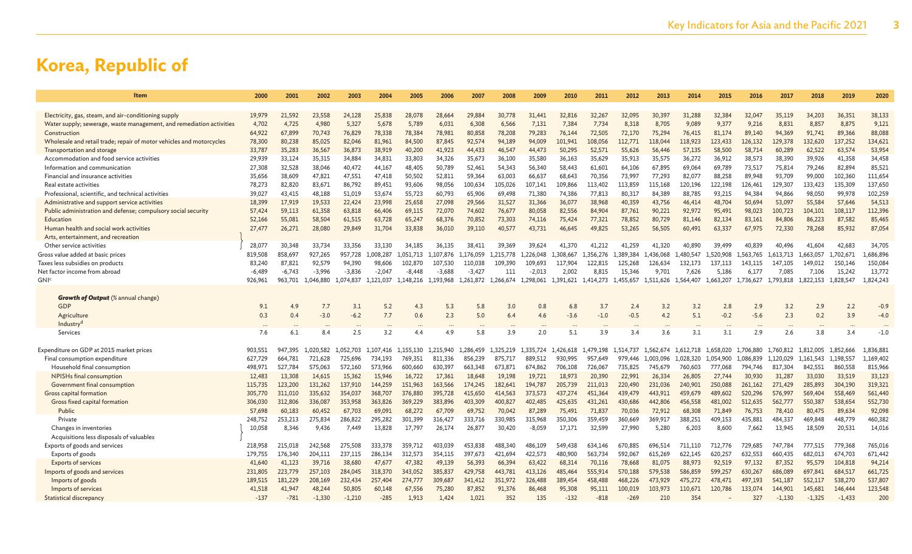| Item                                                                 | 2000             | 2001             | 2002             | 2003             | 2004             | 2005             | 2006             | 2007              | 2008              | 2009              | 2010              | 2011              | 2012              | 2013              | 2014              | 2015              | 2016              | 2017              | 2018              | 2019               | 2020               |
|----------------------------------------------------------------------|------------------|------------------|------------------|------------------|------------------|------------------|------------------|-------------------|-------------------|-------------------|-------------------|-------------------|-------------------|-------------------|-------------------|-------------------|-------------------|-------------------|-------------------|--------------------|--------------------|
|                                                                      |                  |                  |                  |                  |                  |                  |                  |                   |                   |                   |                   |                   |                   |                   |                   |                   |                   |                   |                   |                    |                    |
| Electricity, gas, steam, and air-conditioning supply                 | 19.979           | 21.592           | 23.558           | 24.128           | 25,838           | 28,078           | 28,664           | 29,884            | 30,778            | 31,441            | 32,816            | 32,267            | 32,095            | 30,397            | 31.288            | 32.384            | 32,047            | 35,119            | 34,203            | 36,351             | 38,133             |
| Water supply; sewerage, waste management, and remediation activities | 4,702            | 4,725            | 4,980            | 5,327            | 5,678            | 5,789            | 6,031            | 6,308             | 6,566             | 7,131             | 7,384             | 7,734             | 8,318             | 8,705             | 9,089             | 9,377             | 9,216             | 8,831             | 8,857             | 8,875              | 9,121              |
| Construction                                                         | 64,922           | 67,899           | 70,743           | 76,829           | 78,338           | 78,384           | 78,981           | 80,858            | 78,208            | 79,283            | 76,144            | 72,505            | 72,170            | 75,294            | 76,415            | 81,174            | 89,140            | 94,369            | 91,741            | 89,366             | 88,088             |
| Wholesale and retail trade; repair of motor vehicles and motorcycles | 78,300           | 80.238           | 85,025           | 82,046           | 81,961           | 84,500           | 87,845           | 92,574            | 94.189            | 94,009            | 101,941           | 108.056           | 112,771           | 118,044           | 118,923           | 123,433           | 126,132           | 129,378           | 132,620           | 137,252            | 134,621            |
| Transportation and storage                                           | 33,787           | 35,283           | 36,567           | 36,873           | 38,919           | 40,200           | 41,923           | 44,433            | 46,547            | 44,473            | 50,295            | 52,571            | 55,626            | 56,446            | 57,135            | 58,500            | 58,714            | 60,289            | 62,522            | 63,574             | 53,954             |
| Accommodation and food service activities                            | 29,939           | 33,124           | 35,315           | 34,884           | 34,831           | 33,803           | 34,326           | 35,673            | 36,100            | 35,580            | 36,163            | 35,629            | 35,913            | 35,575            | 36,272            | 36,912            | 38,573            | 38,390            | 39,926            | 41,358             | 34,458             |
| Information and communication                                        | 27,308           | 32,528           | 38,046           | 40,472           | 44,167           | 48,405           | 50,789           | 52,461            | 54,343            | 56,340            | 58,443            | 61,601            | 64,106            | 67,895            | 69,064            | 69,789            | 73,517            | 75,814            | 79,246            | 82,894             | 85,521             |
| Financial and insurance activities<br>Real estate activities         | 35,656<br>78,273 | 38,609<br>82,820 | 47,821<br>83,671 | 47,551<br>86,792 | 47,418<br>89,451 | 50,502<br>93,606 | 52,811<br>98,056 | 59,364<br>100,634 | 63,003<br>105,026 | 66,637<br>107,141 | 68,643<br>109,866 | 70,356<br>113,402 | 73,997<br>113,859 | 77,293<br>115,168 | 82,077<br>120,196 | 88,258<br>122,198 | 89,948<br>126,461 | 93,709<br>129,307 | 99,000<br>133,423 | 102,360<br>135,309 | 111,654<br>137,650 |
| Professional, scientific, and technical activities                   | 39,027           | 43,415           | 48,188           | 51,019           | 53,674           | 55,723           | 60,793           | 65,906            | 69,498            | 71,380            | 74,386            | 77,813            | 80,317            | 84,389            | 88,785            | 93,215            | 94,384            | 94,866            | 98,050            | 99,978             | 102,259            |
| Administrative and support service activities                        | 18,399           | 17,919           | 19,533           | 22,424           | 23,998           | 25,658           | 27,098           | 29,566            | 31,527            | 31,366            | 36,077            | 38,968            | 40,359            | 43,756            | 46,414            | 48,704            | 50,694            | 53,097            | 55,584            | 57,646             | 54,513             |
| Public administration and defense; compulsory social security        | 57,424           | 59,113           | 61,358           | 63,818           | 66,406           | 69,115           | 72,070           | 74,602            | 76,677            | 80,058            | 82,556            | 84,904            | 87,761            | 90,221            | 92,972            | 95,491            | 98,023            | 100,723           | 104,101           | 108,117            | 112,396            |
| Education                                                            | 52,166           | 55,081           | 58,504           | 61,515           | 63,728           | 65,247           | 68,376           | 70,852            | 73,303            | 74,116            | 75,424            | 77,321            | 78,852            | 80,729            | 81,146            | 82,134            | 83,161            | 84,806            | 86,223            | 87,582             | 85,465             |
| Human health and social work activities                              | 27,477           | 26,271           | 28,080           | 29,849           | 31,704           | 33,838           | 36,010           | 39,110            | 40,577            | 43,731            | 46,645            | 49,825            | 53,265            | 56,505            | 60,491            | 63,337            | 67,975            | 72,330            | 78,268            | 85,932             | 87,054             |
| Arts, entertainment, and recreation                                  |                  |                  |                  |                  |                  |                  |                  |                   |                   |                   |                   |                   |                   |                   |                   |                   |                   |                   |                   |                    |                    |
| Other service activities                                             | 28,077           | 30,348           | 33,734           | 33,356           | 33,130           | 34.185           | 36,135           | 38,411            | 39,369            | 39,624            | 41,370            | 41.212            | 41,259            | 41,320            | 40.890            | 39,499            | 40.839            | 40,496            | 41,604            | 42,683             | 34,705             |
| Gross value added at basic prices                                    | 819,508          | 858,697          | 927,265          | 957,728          | 1,008,287        | .051.713         | .107.876         | 1,176,059         | 1.215.778         | .,226,048         | 1,308,667         | 1.356.276         | ,389,384          | 436,068           | .480.547          | L.520.908         | .,563,765         | .613.713          | 1,663,057         | 1,702,671          | .,686,896          |
| Taxes less subsidies on products                                     | 83,240           | 87,821           | 92,579           | 94.390           | 98,606           | 102,870          | 107.530          | 110.038           | 109,390           | 109.693           | 117,904           | 122,815           | 125,268           | 126,634           | 132,173           | 137.113           | 143,115           | 147,105           | 149,012           | 150,146            | 150,084            |
| Net factor income from abroad                                        | $-6,489$         | $-6,743$         | $-3,996$         | $-3,836$         | $-2,047$         | $-8,448$         | $-3,688$         | $-3,427$          | 111               | $-2,013$          | 2,002             | 8,815             | 15,346            | 9,701             | 7,626             | 5,186             | 6,177             | 7,085             | 7,106             | 15,242             | 13,772             |
| GNIc                                                                 | 926,961          | 963,701          | 1,046,880        | 1,074,837        | 1.121.037        | 1,148,216        | 1,193,968        | 1,261,872         | 1,266,674         | 1,298,061         | 1,391,621         | 1,414,273         | 1,455,657         | 1,511,626         | 1,564,407         | 1,663,207         | 1,736,627         | .793.818          | 1,822,153         | 1,828,547          | 1,824,243          |
|                                                                      |                  |                  |                  |                  |                  |                  |                  |                   |                   |                   |                   |                   |                   |                   |                   |                   |                   |                   |                   |                    |                    |
| <b>Growth of Output</b> (% annual change)                            |                  |                  |                  |                  |                  |                  |                  |                   |                   |                   |                   |                   |                   |                   |                   |                   |                   |                   |                   |                    |                    |
| GDP                                                                  | 9.1              | 4.9              | 7.7              | 3.1              | 5.2              | 4.3              | 5.3              | 5.8               | 3.0               | 0.8               | 6.8               | 3.7               | 2.4               | 3.2               | 3.2               | 2.8               | 2.9               | 3.2               | 2.9               | 2.2                | $-0.9$             |
| Agriculture                                                          | 0.3              | 0.4              | $-3.0$           | $-6.2$           | 7.7              | 0.6              | 2.3              | 5.0               | 6.4               | 4.6               | $-3.6$            | $-1.0$            | $-0.5$            | 4.2               | 5.1               | $-0.2$            | $-5.6$            | 2.3               | 0.2               | 3.9                | $-4.0$             |
| Industry <sup>d</sup>                                                |                  |                  |                  |                  |                  |                  |                  |                   |                   |                   |                   |                   |                   |                   |                   |                   |                   |                   |                   |                    |                    |
| Services                                                             | 7.6              | 6.1              | 8.4              | 2.5              | 3.2              | 4.4              | 4.9              | 5.8               | 3.9               | 2.0               | 5.1               | 3.9               | 3.4               | 3.6               | 3.1               | 3.1               | 2.9               | 2.6               | 3.8               | 3.4                | $-1.0$             |
| Expenditure on GDP at 2015 market prices                             | 903,551          | 947.395          | 1,020,582        | 1,052,703        | 1,107,416        | 1,155,130        | 1,215,940        | 1,286,459         | 1,325,219         | 1,335,724         | 1,426,618         | 1,479,198         | 1,514,737         | 1.562.674         | 1,612,718         | 1,658,020         | 1,706,880         | 1,760,812         | 1,812,005         | 1,852,666          | 1,836,881          |
| Final consumption expenditure                                        | 627,729          | 664,781          | 721,628          | 725,696          | 734,193          | 769,351          | 811,336          | 856,239           | 875,717           | 889,512           | 930,995           | 957,649           | 979,446           | ,003,096          | 1,028,320         | 1,054,900         | 1,086,839         | .120,029          | 1,161,543         | 1,198,557          | 1,169,402          |
| Household final consumption                                          | 498.971          | 527.784          | 575.063          | 572,160          | 573,966          | 600,660          | 630,397          | 663,348           | 673.871           | 674,862           | 706.108           | 726,067           | 735,825           | 745,679           | 760,603           | 777,068           | 794,746           | 817,304           | 842,551           | 860,558            | 815,966            |
| <b>NPISHs final consumption</b>                                      | 12,483           | 13,308           | 14,615           | 15,362           | 15,946           | 16,722           | 17,361           | 18,648            | 19,198            | 19,721            | 18,973            | 20,390            | 22,991            | 26,334            | 26,805            | 27,744            | 30,930            | 31,287            | 33,030            | 33,519             | 33,123             |
| Government final consumption                                         | 115,735          | 123,200          | 131,262          | 137,910          | 144,259          | 151,963          | 163,566          | 174,245           | 182,641           | 194,787           | 205,739           | 211,013           | 220,490           | 231,036           | 240,901           | 250,088           | 261,162           | 271,429           | 285,893           | 304,190            | 319,321            |
| <b>Gross capital formation</b>                                       | 305,770          | 311,010          | 335.632          | 354,037          | 368,707          | 376,880          | 395,728          | 415.650           | 414,563           | 373,573           | 437,274           | 451,364           | 439,479           | 443.911           | 459,679           | 489,602           | 520,296           | 576,997           | 569,404           | 558,469            | 561,440            |
| Gross fixed capital formation                                        | 306,030          | 312,806          | 336,087          | 353,958          | 363,826          | 369,229          | 383,896          | 403,309           | 400,827           | 402,485           | 425,635           | 431,261           | 430,686           | 442,806           | 456,558           | 481,002           | 512,635           | 562,777           | 550,387           | 538,654            | 552,730            |
| Public                                                               | 57,698           | 60,183           | 60,452           | 67,703           | 69,091           | 68,272           | 67,709           | 69,752            | 70,042            | 87,289            | 75,491            | 71,837            | 70,036            | 72,912            | 68,308            | 71,849            | 76,753            | 78,410            | 80,475            | 89,634             | 92,098             |
| Private                                                              | 248,752          | 253,213          | 275.834          | 286,822          | 295,282          | 301.399          | 316,427          | 333.716           | 330.985           | 315,968           | 350,306           | 359,459           | 360,669           | 369,917           | 388,251           | 409.153           | 435,881           | 484,337           | 469,848           | 448,779            | 460,382            |
| Changes in inventories                                               | 10,058           | 8,346            | 9,436            | 7,449            | 13,828           | 17.797           | 26,174           | 26,877            | 30,420            | $-8,059$          | 17,171            | 32,599            | 27,990            | 5,280             | 6,203             | 8,600             | 7,662             | 13,945            | 18,509            | 20,531             | 14,016             |
| Acquisitions less disposals of valuables                             |                  |                  |                  |                  |                  |                  |                  |                   |                   |                   |                   |                   |                   |                   |                   |                   |                   |                   |                   |                    |                    |
| Exports of goods and services                                        | 218,958          | 215,018          | 242,568          | 275,508          | 333,378          | 359,712          | 403,039          | 453,838           | 488.340           | 486.109           | 549,438           | 634,146           | 670.885           | 696,514           | 711.110           | 712,776           | 729.685           | 747.784           | 777.515           | 779.368            | 765,016            |
| Exports of goods                                                     | 179.755          | 176,340          | 204,111          | 237,115          | 286,134          | 312,573          | 354,115          | 397,673           | 421,694           | 422,573           | 480,900           | 563,734           | 592,067           | 615,269           | 622,145           | 620,257           | 632,553           | 660,435           | 682,013           | 674,703            | 671,442            |
| <b>Exports of services</b>                                           | 41,640           | 41,123           | 39,716           | 38,680           | 47,677           | 47,382           | 49,139           | 56,393            | 66,394            | 63,422            | 68,314            | 70,116            | 78,668            | 81,075            | 88,973            | 92,519            | 97,132            | 87,352            | 95,579            | 104,818            | 94,214             |
| Imports of goods and services                                        | 231,805          | 223,779          | 257,103          | 284,045          | 318,370          | 343,052          | 385,837          | 429,758           | 443.781           | 413.126           | 485,464           | 555,914           | 570,188           | 579,538           | 586,859           | 599,257           | 630,267           | 686,089           | 697,841           | 684,517            | 661,725            |
| Imports of goods                                                     | 189,515          | 181,229          | 208,169          | 232,434          | 257,404          | 274,777          | 309,687          | 341,412           | 351,972           | 326,488           | 389,454           | 458,488           | 468,226           | 473,929           | 475,272           | 478,471           | 497,193           | 541,187           | 552,117           | 538,270            | 537,807            |
| Imports of services                                                  | 41,518           | 41.947           | 48,244           | 50,805           | 60,148           | 67,556           | 75,280           | 87,852            | 91.376            | 86,468            | 95,308            | 95,111            | 100,019           | 103,973           | 110,671           | 120,786           | 133,074           | 144,901           | 145,681           | 146,444            | 123,548            |
| Statistical discrepancy                                              | $-137$           | $-781$           | $-1.330$         | $-1,210$         | $-285$           | 1.913            | 1.424            | 1.021             | 352               | 135               | $-132$            | $-818$            | $-269$            | 210               | 354               |                   | 327               | $-1.130$          | $-1.325$          | $-1,433$           | 200                |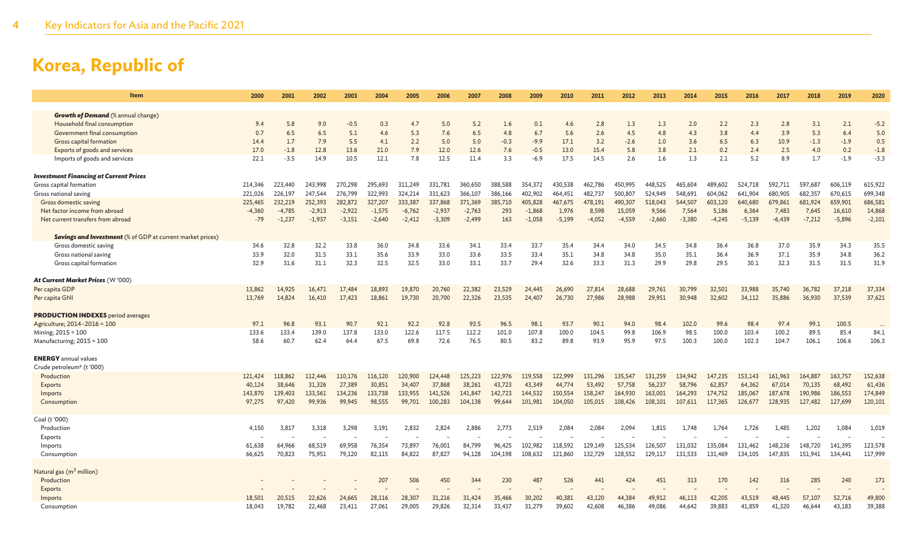| <b>Item</b>                                                       | 2000     | 2001     | 2002     | 2003     | 2004     | 2005     | 2006     | 2007     | 2008    | 2009     | 2010     | 2011     | 2012     | 2013     | 2014     | 2015     | 2016     | 2017     | 2018     | 2019     | 2020     |
|-------------------------------------------------------------------|----------|----------|----------|----------|----------|----------|----------|----------|---------|----------|----------|----------|----------|----------|----------|----------|----------|----------|----------|----------|----------|
| <b>Growth of Demand</b> (% annual change)                         |          |          |          |          |          |          |          |          |         |          |          |          |          |          |          |          |          |          |          |          |          |
| Household final consumption                                       | 9.4      | 5.8      | 9.0      | $-0.5$   | 0.3      | 4.7      | 5.0      | 5.2      | 1.6     | 0.1      | 4.6      | 2.8      | 1.3      | 1.3      | 2.0      | 2.2      | 2.3      | 2.8      | 3.1      | 2.1      | $-5.2$   |
| Government final consumption                                      | 0.7      | 6.5      | 6.5      | 5.1      | 4.6      | 5.3      | 7.6      | 6.5      | 4.8     | 6.7      | 5.6      | 2.6      | 4.5      | 4.8      | 4.3      | 3.8      | 4.4      | 3.9      | 5.3      | 6.4      | 5.0      |
| Gross capital formation                                           | 14.4     | 1.7      | 7.9      | 5.5      | 4.1      | 2.2      | 5.0      | 5.0      | $-0.3$  | $-9.9$   | 17.1     | 3.2      | $-2.6$   | 1.0      | 3.6      | 6.5      | 6.3      | 10.9     | $-1.3$   | $-1.9$   | 0.5      |
| Exports of goods and services                                     | 17.0     | $-1.8$   | 12.8     | 13.6     | 21.0     | 7.9      | 12.0     | 12.6     | 7.6     | $-0.5$   | 13.0     | 15.4     | 5.8      | 3.8      | 2.1      | 0.2      | 2.4      | 2.5      | 4.0      | 0.2      | $-1.8$   |
| Imports of goods and services                                     | 22.1     | $-3.5$   | 14.9     | 10.5     | 12.1     | 7.8      | 12.5     | 11.4     | 3.3     | $-6.9$   | 17.5     | 14.5     | 2.6      | 1.6      | 1.3      | 2.1      | 5.2      | 8.9      | 1.7      | $-1.9$   | $-3.3$   |
| <b>Investment Financing at Current Prices</b>                     |          |          |          |          |          |          |          |          |         |          |          |          |          |          |          |          |          |          |          |          |          |
| Gross capital formation                                           | 214,346  | 223,440  | 243.998  | 270,298  | 295,693  | 311,249  | 331,781  | 360,650  | 388.588 | 354,372  | 430,538  | 462,786  | 450.995  | 448,525  | 465.604  | 489,602  | 524,718  | 592.711  | 597.687  | 606,119  | 615,922  |
| Gross national saving                                             | 221,026  | 226,197  | 247,544  | 276,799  | 322,993  | 324,214  | 331,623  | 366,107  | 386,166 | 402,902  | 464,451  | 482,737  | 500,807  | 524,949  | 548,691  | 604,062  | 641,904  | 680,905  | 682,357  | 670,615  | 699,348  |
| Gross domestic saving                                             | 225,465  | 232,219  | 252,393  | 282,872  | 327,207  | 333,387  | 337,868  | 371,369  | 385,710 | 405,828  | 467,675  | 478,191  | 490,307  | 518,043  | 544,507  | 603,120  | 640,680  | 679,861  | 681,924  | 659,901  | 686,581  |
| Net factor income from abroad                                     | $-4,360$ | $-4,785$ | $-2,913$ | $-2,922$ | $-1,575$ | $-6,762$ | $-2,937$ | $-2,763$ | 293     | $-1,868$ | 1,976    | 8,598    | 15,059   | 9,566    | 7,564    | 5,186    | 6,364    | 7,483    | 7,645    | 16,610   | 14,868   |
| Net current transfers from abroad                                 | $-79$    | $-1,237$ | $-1,937$ | $-3,151$ | $-2,640$ | $-2,412$ | $-3,309$ | $-2,499$ | 163     | $-1,058$ | $-5,199$ | $-4,052$ | $-4,559$ | $-2,660$ | $-3,380$ | $-4.245$ | $-5,139$ | $-6,439$ | $-7,212$ | $-5,896$ | $-2,101$ |
| <b>Savings and Investment</b> (% of GDP at current market prices) |          |          |          |          |          |          |          |          |         |          |          |          |          |          |          |          |          |          |          |          |          |
| Gross domestic saving                                             | 34.6     | 32.8     | 32.2     | 33.8     | 36.0     | 34.8     | 33.6     | 34.1     | 33.4    | 33.7     | 35.4     | 34.4     | 34.0     | 34.5     | 34.8     | 36.4     | 36.8     | 37.0     | 35.9     | 34.3     | 35.5     |
| Gross national saving                                             | 33.9     | 32.0     | 31.5     | 33.1     | 35.6     | 33.9     | 33.0     | 33.6     | 33.5    | 33.4     | 35.1     | 34.8     | 34.8     | 35.0     | 35.1     | 36.4     | 36.9     | 37.1     | 35.9     | 34.8     | 36.2     |
| Gross capital formation                                           | 32.9     | 31.6     | 31.1     | 32.3     | 32.5     | 32.5     | 33.0     | 33.1     | 33.7    | 29.4     | 32.6     | 33.3     | 31.3     | 29.9     | 29.8     | 29.5     | 30.1     | 32.3     | 31.5     | 31.5     | 31.9     |
| At Current Market Prices (W '000)                                 |          |          |          |          |          |          |          |          |         |          |          |          |          |          |          |          |          |          |          |          |          |
| Per capita GDP                                                    | 13,862   | 14,925   | 16,471   | 17,484   | 18,893   | 19,870   | 20,760   | 22,382   | 23,529  | 24,445   | 26,690   | 27,814   | 28,688   | 29,761   | 30,799   | 32,501   | 33,988   | 35,740   | 36,782   | 37,218   | 37,334   |
| Per capita GNI                                                    | 13,769   | 14,824   | 16,410   | 17,423   | 18,861   | 19,730   | 20,700   | 22,326   | 23,535  | 24,407   | 26,730   | 27,986   | 28,988   | 29,951   | 30,948   | 32,602   | 34,112   | 35,886   | 36,930   | 37,539   | 37,621   |
| <b>PRODUCTION INDEXES</b> period averages                         |          |          |          |          |          |          |          |          |         |          |          |          |          |          |          |          |          |          |          |          |          |
| Agriculture; 2014-2016 = 100                                      | 97.1     | 96.8     | 93.1     | 90.7     | 92.1     | 92.2     | 92.8     | 93.5     | 96.5    | 98.1     | 93.7     | 90.1     | 94.0     | 98.4     | 102.0    | 99.6     | 98.4     | 97.4     | 99.1     | 100.5    |          |
| Mining; 2015 = 100                                                | 133.6    | 133.4    | 139.0    | 137.8    | 133.0    | 122.6    | 117.5    | 112.2    | 101.0   | 107.8    | 100.0    | 104.5    | 99.8     | 106.9    | 98.5     | 100.0    | 103.4    | 100.2    | 89.5     | 85.4     | 84.1     |
| Manufacturing; 2015 = 100                                         | 58.6     | 60.7     | 62.4     | 64.4     | 67.5     | 69.8     | 72.6     | 76.5     | 80.5    | 83.2     | 89.8     | 93.9     | 95.9     | 97.5     | 100.3    | 100.0    | 102.3    | 104.7    | 106.1    | 106.6    | 106.3    |
| <b>ENERGY</b> annual values                                       |          |          |          |          |          |          |          |          |         |          |          |          |          |          |          |          |          |          |          |          |          |
| Crude petroleum <sup>e</sup> (t '000)                             |          |          |          |          |          |          |          |          |         |          |          |          |          |          |          |          |          |          |          |          |          |
| Production                                                        | 121,424  | 118,862  | 112,446  | 110,176  | 116,120  | 120,900  | 124,448  | 125,223  | 122,976 | 119,558  | 122,999  | 131,296  | 135,547  | 131,259  | 134,942  | 147,235  | 153,143  | 161,963  | 164,887  | 163,757  | 152,638  |
| Exports                                                           | 40,124   | 38,646   | 31,326   | 27,389   | 30,851   | 34,407   | 37,868   | 38,261   | 43,723  | 43,349   | 44,774   | 53,492   | 57,758   | 56,237   | 58,796   | 62,857   | 64,362   | 67,014   | 70,135   | 68,492   | 61,436   |
| Imports                                                           | 143,870  | 139,403  | 133,561  | 134,236  | 133,738  | 133,955  | 141,526  | 141,847  | 142,723 | 144,532  | 150,554  | 158,247  | 164,930  | 163,001  | 164,293  | 174,752  | 185,067  | 187,678  | 190,986  | 186,553  | 174,849  |
| Consumption                                                       | 97,275   | 97,420   | 99,936   | 99,945   | 98,555   | 99,701   | 100,283  | 104,138  | 99,644  | 101,981  | 104,050  | 105,015  | 108,426  | 108,101  | 107,611  | 117,365  | 126,677  | 128,935  | 127,482  | 127,699  | 120,101  |
| Coal (t '000)                                                     |          |          |          |          |          |          |          |          |         |          |          |          |          |          |          |          |          |          |          |          |          |
| Production                                                        | 4,150    | 3,817    | 3,318    | 3,298    | 3,191    | 2,832    | 2,824    | 2,886    | 2,773   | 2,519    | 2,084    | 2,084    | 2,094    | 1,815    | 1,748    | 1,764    | 1,726    | 1,485    | 1,202    | 1,084    | 1,019    |
| Exports                                                           |          |          |          |          |          |          |          |          |         |          |          |          |          |          |          |          |          |          |          |          |          |
| Imports                                                           | 61,638   | 64,966   | 68,519   | 69,958   | 76,354   | 73,897   | 76,001   | 84,799   | 96,425  | 102,982  | 118,592  | 129,149  | 125,534  | 126,507  | 131,032  | 135,084  | 131,462  | 148,236  | 148,720  | 141,395  | 123,578  |
| Consumption                                                       | 66,625   | 70,823   | 75,951   | 79,120   | 82,115   | 84,822   | 87,827   | 94,128   | 104,198 | 108,632  | 121,860  | 132,729  | 128,552  | 129,117  | 131,533  | 131,469  | 134,105  | 147,835  | 151,941  | 134,441  | 117,999  |
| Natural gas (m <sup>3</sup> million)                              |          |          |          |          |          |          |          |          |         |          |          |          |          |          |          |          |          |          |          |          |          |
| Production                                                        |          |          |          |          | 207      | 506      | 450      | 344      | 230     | 487      | 526      | 441      | 424      | 451      | 313      | 170      | 142      | 316      | 285      | 240      | 171      |
| Exports                                                           |          |          |          |          |          |          |          |          |         |          |          |          |          |          |          |          |          |          |          |          |          |
| Imports                                                           | 18,501   | 20,515   | 22.626   | 24,665   | 28,116   | 28,307   | 31,216   | 31,424   | 35,466  | 30,202   | 40,381   | 43.120   | 44,384   | 49.912   | 46.113   | 42,205   | 43.519   | 48,445   | 57,107   | 52,716   | 49,800   |
| Consumption                                                       | 18,043   | 19,782   | 22,468   | 23,411   | 27,061   | 29,005   | 29,826   | 32,314   | 33,437  | 31,279   | 39,602   | 42,608   | 46,386   | 49,086   | 44.642   | 39,883   | 41,859   | 41,320   | 46,644   | 43,183   | 39,388   |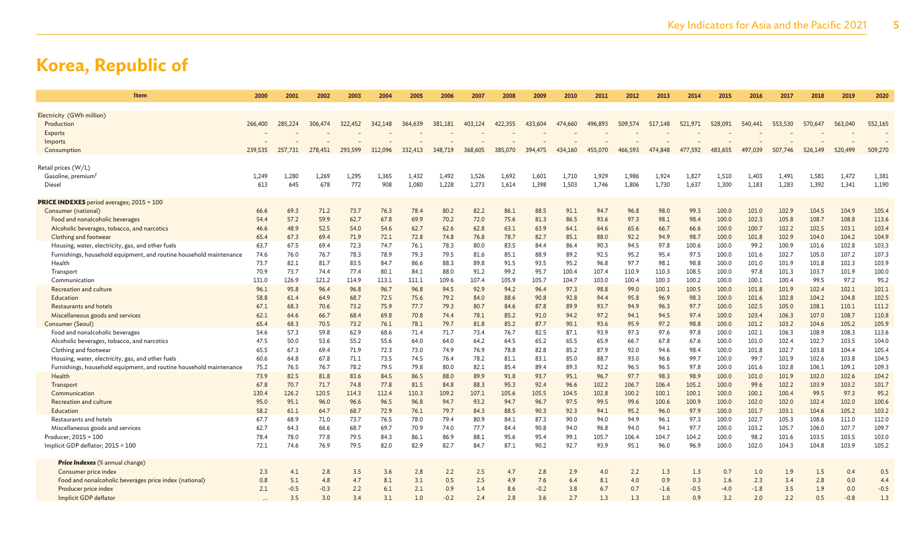| <b>Item</b>                                                                   | 2000         | 2001         | 2002         | 2003         | 2004         | 2005         | 2006         | 2007         | 2008         | 2009         | 2010          | 2011          | 2012          | 2013          | 2014          | 2015           | 2016           | 2017           | 2018           | 2019           | 2020           |
|-------------------------------------------------------------------------------|--------------|--------------|--------------|--------------|--------------|--------------|--------------|--------------|--------------|--------------|---------------|---------------|---------------|---------------|---------------|----------------|----------------|----------------|----------------|----------------|----------------|
| Electricity (GWh million)                                                     |              |              |              |              |              |              |              |              |              |              |               |               |               |               |               |                |                |                |                |                |                |
| Production                                                                    | 266,400      | 285,224      | 306,474      | 322,452      | 342,148      | 364,639      | 381,181      | 403,124      | 422,355      | 433,604      | 474,660       | 496,893       | 509,574       | 517,148       | 521,971       | 528,091        | 540,441        | 553,530        | 570,647        | 563,040        | 552,165        |
| Exports                                                                       |              |              |              |              |              |              |              |              |              |              |               |               |               |               |               |                |                |                |                |                |                |
| Imports                                                                       |              |              |              |              |              |              |              |              |              |              |               |               |               |               |               |                |                |                |                |                |                |
| Consumption                                                                   | 239,535      | 257,731      | 278,451      | 293,599      | 312,096      | 332,413      | 348,719      | 368,605      | 385,070      | 394,475      | 434,160       | 455,070       | 466,593       | 474,848       | 477,592       | 483,655        | 497,039        | 507,746        | 526,149        | 520,499        | 509,270        |
| Retail prices (W/L)                                                           |              |              |              |              |              |              |              |              |              |              |               |               |               |               |               |                |                |                |                |                |                |
| Gasoline, premium <sup>t</sup>                                                | 1,249        | 1,280        | 1,269        | 1,295        | 1,365        | 1,432        | 1,492        | 1,526        | 1,692        | 1,601        | 1,710         | 1,929         | 1,986         | 1,924         | 1,827         | 1,510          | 1,403          | 1,491          | 1,581          | 1,472          | 1,381          |
| Diesel                                                                        | 613          | 645          | 678          | 772          | 908          | 1,080        | 1,228        | 1,273        | 1,614        | 1,398        | 1,503         | 1,746         | 1,806         | 1,730         | 1,637         | 1,300          | 1,183          | 1,283          | 1,392          | 1,341          | 1,190          |
| <b>PRICE INDEXES</b> period averages; 2015 = 100                              |              |              |              |              |              |              |              |              |              |              |               |               |               |               |               |                |                |                |                |                |                |
| Consumer (national)                                                           | 66.6         | 69.3         | 71.2         | 73.7         | 76.3         | 78.4         | 80.2         | 82.2         | 86.1         | 88.5         | 91.1          | 94.7          | 96.8          | 98.0          | 99.3          | 100.0          | 101.0          | 102.9          | 104.5          | 104.9          | 105.4          |
| Food and nonalcoholic beverages                                               | 54.4         | 57.2         | 59.9         | 62.7         | 67.8         | 69.9         | 70.2         | 72.0         | 75.6         | 81.3         | 86.5          | 93.6          | 97.3          | 98.1          | 98.4          | 100.0          | 102.3          | 105.8          | 108.7          | 108.8          | 113.6          |
| Alcoholic beverages, tobacco, and narcotics                                   | 46.6         | 48.9         | 52.5         | 54.0         | 54.6         | 62.7         | 62.6         | 62.8         | 63.1         | 63.9         | 64.1          | 64.6          | 65.6          | 66.7          | 66.6          | 100.0          | 100.7          | 102.2          | 102.5          | 103.1          | 103.4          |
| Clothing and footwear                                                         | 65.4         | 67.3         | 69.4         | 71.9         | 72.1         | 72.8         | 74.8         | 76.8         | 78.7         | 82.7         | 85.1          | 88.0          | 92.2          | 94.9          | 98.7          | 100.0          | 101.8          | 102.9          | 104.0          | 104.2          | 104.9          |
| Housing, water, electricity, gas, and other fuels                             | 63.7         | 67.5         | 69.4         | 72.3         | 74.7         | 76.1         | 78.3         | 80.0         | 83.5         | 84.4         | 86.4          | 90.3          | 94.5          | 97.8          | 100.6         | 100.0          | 99.2           | 100.9          | 101.6          | 102.8          | 103.3          |
| Furnishings, household equipment, and routine household maintenance           | 74.6         | 76.0         | 76.7         | 78.3         | 78.9         | 79.3         | 79.5         | 81.6         | 85.1         | 88.9         | 89.2          | 92.5          | 95.2          | 95.4          | 97.5          | 100.0          | 101.6          | 102.7          | 105.0          | 107.2          | 107.3          |
| Health                                                                        | 73.7<br>70.9 | 82.1<br>73.7 | 81.7<br>74.4 | 83.5<br>77.4 | 84.7<br>80.1 | 86.6<br>84.1 | 88.3<br>88.0 | 89.8<br>91.2 | 91.5<br>99.2 | 93.5<br>95.7 | 95.2<br>100.4 | 96.8<br>107.4 | 97.7<br>110.9 | 98.1<br>110.3 | 98.8<br>108.5 | 100.0<br>100.0 | 101.0<br>97.8  | 101.9<br>101.3 | 101.8<br>103.7 | 102.3<br>101.9 | 103.9<br>100.0 |
| Transport<br>Communication                                                    | 131.0        | 126.9        | 121.2        | 114.9        | 113.1        | 111.1        | 109.6        | 107.4        | 105.9        | 105.7        | 104.7         | 103.0         | 100.4         | 100.3         | 100.2         | 100.0          | 100.1          | 100.4          | 99.5           | 97.2           | 95.2           |
| Recreation and culture                                                        | 96.1         | 95.8         | 96.4         | 96.8         | 96.7         | 96.8         | 94.5         | 92.9         | 94.2         | 96.4         | 97.3          | 98.8          | 99.0          | 100.1         | 100.5         | 100.0          | 101.8          | 101.9          | 102.4          | 102.1          | 101.1          |
| Education                                                                     | 58.8         | 61.4         | 64.9         | 68.7         | 72.5         | 75.6         | 79.2         | 84.0         | 88.6         | 90.8         | 92.8          | 94.4          | 95.8          | 96.9          | 98.3          | 100.0          | 101.6          | 102.8          | 104.2          | 104.8          | 102.5          |
| Restaurants and hotels                                                        | 67.1         | 68.3         | 70.6         | 73.2         | 75.9         | 77.7         | 79.3         | 80.7         | 84.6         | 87.8         | 89.9          | 93.7          | 94.9          | 96.3          | 97.7          | 100.0          | 102.5          | 105.0          | 108.1          | 110.1          | 111.2          |
| Miscellaneous goods and services                                              | 62.1         | 64.6         | 66.7         | 68.4         | 69.8         | 70.8         | 74.4         | 78.1         | 85.2         | 91.0         | 94.2          | 97.2          | 94.1          | 94.5          | 97.4          | 100.0          | 103.4          | 106.3          | 107.0          | 108.7          | 110.8          |
| Consumer (Seoul)                                                              | 65.4         | 68.3         | 70.5         | 73.2         | 76.1         | 78.1         | 79.7         | 81.8         | 85.2         | 87.7         | 90.1          | 93.6          | 95.9          | 97.2          | 98.8          | 100.0          | 101.2          | 103.2          | 104.6          | 105.2          | 105.9          |
| Food and nonalcoholic beverages                                               | 54.6         | 57.3         | 59.8         | 62.9         | 68.6         | 71.4         | 71.7         | 73.4         | 76.7         | 82.5         | 87.1          | 93.9          | 97.3          | 97.6          | 97.8          | 100.0          | 102.1          | 106.3          | 108.9          | 108.3          | 113.6          |
| Alcoholic beverages, tobacco, and narcotics                                   | 47.5         | 50.0         | 53.6         | 55.2         | 55.6         | 64.0         | 64.0         | 64.2         | 64.5         | 65.2         | 65.5          | 65.9          | 66.7          | 67.8          | 67.6          | 100.0          | 101.0          | 102.4          | 102.7          | 103.5          | 104.0          |
| Clothing and footwear                                                         | 65.5         | 67.3         | 69.4         | 71.9         | 72.3         | 73.0         | 74.9         | 76.9         | 78.8         | 82.8         | 85.2          | 87.9          | 92.0          | 94.6          | 98.4          | 100.0          | 101.8          | 102.7          | 103.8          | 104.4          | 105.4          |
| Housing, water, electricity, gas, and other fuels                             | 60.6         | 64.8         | 67.8         | 71.1         | 73.5         | 74.5         | 76.4         | 78.2         | 81.1         | 83.1         | 85.0          | 88.7          | 93.0          | 96.6          | 99.7          | 100.0          | 99.7           | 101.9          | 102.6          | 103.8          | 104.5          |
| Furnishings, household equipment, and routine household maintenance<br>Health | 75.2<br>73.9 | 76.5<br>82.5 | 76.7<br>81.8 | 78.2<br>83.6 | 79.5<br>84.5 | 79.8<br>86.5 | 80.0<br>88.0 | 82.1<br>89.9 | 85.4<br>91.8 | 89.4<br>93.7 | 89.3<br>95.1  | 92.2<br>96.7  | 96.5<br>97.7  | 96.5<br>98.3  | 97.8<br>98.9  | 100.0<br>100.0 | 101.6<br>101.0 | 102.8<br>101.9 | 106.1<br>102.0 | 109.1<br>102.6 | 109.3<br>104.2 |
| Transport                                                                     | 67.8         | 70.7         | 71.7         | 74.8         | 77.8         | 81.5         | 84.8         | 88.3         | 95.3         | 92.4         | 96.6          | 102.2         | 106.7         | 106.4         | 105.2         | 100.0          | 99.6           | 102.2          | 103.9          | 103.2          | 101.7          |
| Communication                                                                 | 130.4        | 126.2        | 120.5        | 114.3        | 112.4        | 110.3        | 109.2        | 107.1        | 105.6        | 105.5        | 104.5         | 102.8         | 100.2         | 100.1         | 100.1         | 100.0          | 100.1          | 100.4          | 99.5           | 97.3           | 95.2           |
| Recreation and culture                                                        | 95.0         | 95.1         | 96.0         | 96.6         | 96.5         | 96.8         | 94.7         | 93.2         | 94.7         | 96.7         | 97.5          | 99.5          | 99.6          | 100.6         | 100.9         | 100.0          | 102.0          | 102.0          | 102.4          | 102.0          | 100.6          |
| Education                                                                     | 58.2         | 61.1         | 64.7         | 68.7         | 72.9         | 76.1         | 79.7         | 84.3         | 88.5         | 90.3         | 92.3          | 94.1          | 95.2          | 96.0          | 97.9          | 100.0          | 101.7          | 103.1          | 104.6          | 105.2          | 103.2          |
| Restaurants and hotels                                                        | 67.7         | 68.9         | 71.0         | 73.7         | 76.5         | 78.0         | 79.4         | 80.9         | 84.1         | 87.3         | 90.0          | 94.0          | 94.9          | 96.1          | 97.3          | 100.0          | 102.7          | 105.3          | 108.6          | 111.0          | 112.0          |
| Miscellaneous goods and services                                              | 62.7         | 64.3         | 66.6         | 68.7         | 69.7         | 70.9         | 74.0         | 77.7         | 84.4         | 90.8         | 94.0          | 96.8          | 94.0          | 94.1          | 97.7          | 100.0          | 103.2          | 105.7          | 106.0          | 107.7          | 109.7          |
| Producer; 2015 = 100                                                          | 78.4         | 78.0         | 77.8         | 79.5         | 84.3         | 86.1         | 86.9         | 88.1         | 95.6         | 95.4         | 99.1          | 105.7         | 106.4         | 104.7         | 104.2         | 100.0          | 98.2           | 101.6          | 103.5          | 103.5          | 103.0          |
| Implicit GDP deflator; 2015 = 100                                             | 72.1         | 74.6         | 76.9         | 79.5         | 82.0         | 82.9         | 82.7         | 84.7         | 87.1         | 90.2         | 92.7          | 93.9          | 95.1          | 96.0          | 96.9          | 100.0          | 102.0          | 104.3          | 104.8          | 103.9          | 105.2          |
| <b>Price Indexes</b> (% annual change)                                        |              |              |              |              |              |              |              |              |              |              |               |               |               |               |               |                |                |                |                |                |                |
| Consumer price index                                                          | 2.3          | 4.1          | 2.8          | 3.5          | 3.6          | 2.8          | 2.2          | 2.5          | 4.7          | 2.8          | 2.9           | 4.0           | 2.2           | 1.3           | 1.3           | 0.7            | 1.0            | 1.9            | 1.5            | 0.4            | 0.5            |
| Food and nonalcoholic beverages price index (national)                        | 0.8          | 5.1          | 4.8          | 4.7          | 8.1          | 3.1          | 0.5          | 2.5          | 4.9          | 7.6          | 6.4           | 8.1           | 4.0           | 0.9           | 0.3           | 1.6            | 2.3            | 3.4            | 2.8            | 0.0            | 4.4            |
| Producer price index                                                          | 2.1          | $-0.5$       | $-0.3$       | 2.2          | 6.1          | 2.1          | 0.9          | 1.4          | 8.6          | $-0.2$       | 3.8           | 6.7           | 0.7           | $-1.6$        | $-0.5$        | $-4.0$         | $-1.8$         | 3.5            | 1.9            | 0.0            | $-0.5$         |
| Implicit GDP deflator                                                         |              | 3.5          | 3.0          | 3.4          | 3.1          | 1.0          | $-0.2$       | 2.4          | 2.8          | 3.6          | 2.7           | 1.3           | 1.3           | 1.0           | 0.9           | 3.2            | 2.0            | 2.2            | 0.5            | $-0.8$         | 1.3            |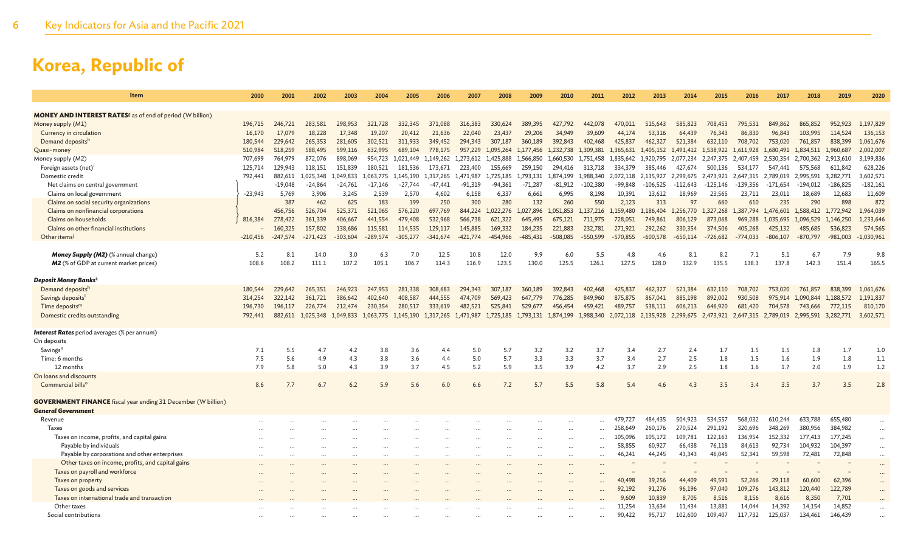| Item                                                                        | 2000              | 2001              | 2002              | 2003              | 2004              | 2005              | 2006              | 2007                          | 2008              | 2009                | 2010              | 2011                                    | 2012              | 2013                          | 2014              | 2015              | 2016                          | 2017                          | 2018               | 2019               | 2020                 |
|-----------------------------------------------------------------------------|-------------------|-------------------|-------------------|-------------------|-------------------|-------------------|-------------------|-------------------------------|-------------------|---------------------|-------------------|-----------------------------------------|-------------------|-------------------------------|-------------------|-------------------|-------------------------------|-------------------------------|--------------------|--------------------|----------------------|
|                                                                             |                   |                   |                   |                   |                   |                   |                   |                               |                   |                     |                   |                                         |                   |                               |                   |                   |                               |                               |                    |                    |                      |
| <b>MONEY AND INTEREST RATES<sup>8</sup> as of end of period (W billion)</b> |                   |                   |                   |                   |                   |                   |                   |                               |                   |                     |                   |                                         |                   |                               |                   |                   |                               |                               |                    |                    |                      |
| Money supply (M1)                                                           | 196,715           | 246,721           | 283,581           | 298,953           | 321,728           | 332,345           | 371,088           | 316,383                       | 330,624           | 389,395             | 427,792           | 442,078                                 | 470,011           | 515,643                       | 585,823           | 708,453           | 795,531                       | 849,862                       | 865,852            | 952,923            | 1,197,829            |
| Currency in circulation<br>Demand deposits <sup>h</sup>                     | 16,170<br>180,544 | 17,079<br>229,642 | 18,228<br>265,353 | 17,348<br>281,605 | 19,207<br>302,521 | 20,412<br>311,933 | 21,636<br>349,452 | 22,040<br>294,343             | 23,437<br>307,187 | 29,206<br>360,189   | 34,949<br>392,843 | 39,609<br>402,468                       | 44,174<br>425,837 | 53,316<br>462,327             | 64,439<br>521,384 | 76,343<br>632,110 | 86,830<br>708,702             | 96,843<br>753,020             | 103,995<br>761,857 | 114,524<br>838,399 | 136,153<br>1,061,676 |
| Quasi-money                                                                 | 510,984           | 518,259           | 588,495           | 599,116           | 632,995           | 689,104           | 778,175           | 957,229                       | 1,095,264         | 1,177,456           | 1,232,738         | 1,309,381                               | 1,365,631         | 1,405,152                     | 1,491,412         | 1,538,922         | 1,611,928                     | 1,680,491                     | 1,834,511          | 1,960,687          | 2,002,007            |
| Money supply (M2)                                                           | 707,699           | 764,979           | 872,076           | 898,069           | 954,723           | 1,021,449         | 1,149,262         | 1,273,612 1,425,888           |                   | 1,566,850           | 1,660,530         | 1,751,458                               |                   | 1,835,642 1,920,795 2,077,234 |                   | 2,247,375         | 2,407,459                     | 2,530,354 2,700,362 2,913,610 |                    |                    | 3,199,836            |
| Foreign assets (net) <sup>i</sup>                                           | 125,714           | 129,943           | 118,151           | 151,839           | 180,521           | 181,536           | 173,671           | 223,400                       | 155,669           | 259,150             | 294,416           | 313,718                                 | 334,379           | 385,446                       | 427,674           | 500,136           | 534,177                       | 547,441                       | 575,568            | 611,842            | 628,226              |
| Domestic credit                                                             | 792,441           | 882,611           | L,025,348         | 1,049,833         | 1,063,775         | 1,145,190         | 1,317,265         | 1,471,987                     | 1,725,185         | 1,793,131           | 1,874,199         | 1,988,340                               | 2,072,118         | 2,135,927                     | 2,299,675         | 2,473,921         | 2,647,315                     | 2,789,019                     | 2,995,591          | 3,282,771          | 3,602,571            |
| Net claims on central government                                            |                   | $-19,048$         | $-24,864$         | $-24,761$         | $-17,146$         | $-27,744$         | $-47,441$         | $-91,319$                     | $-94,361$         | $-71,287$           | -81,912           | $-102,380$                              | $-99,848$         | -106,525                      | $-112,643$        | $-125,146$        | -139,356                      | $-171,654$                    | $-194,012$         | $-186,825$         | $-182,161$           |
| Claims on local government                                                  | $-23,943$         | 5.769             | 3,906             | 3,245             | 2,539             | 2.570             | 4,602             | 6,158                         | 6.337             | 6,661               | 6,995             | 8,198                                   | 10,391            | 13,612                        | 18,969            | 23,565            | 23,711                        | 23,011                        | 18,689             | 12,683             | 11,609               |
| Claims on social security organizations                                     |                   | 387               | 462               | 625               | 183               | 199               | 250               | 300                           | 280               | 132                 | 260               | 550                                     | 2,123             | 313                           | 97                | 660               | 610                           | 235                           | 290                | 898                | 872                  |
| Claims on nonfinancial corporations                                         |                   | 456,756           | 526,704           | 525,371           | 521,065           | 576,220           | 697,769           | 844,224                       | 1,022,276         | 1,027,896           | 1,051,853         | 1,137,216                               | 1,159,480         | 1,186,404                     | 1.256,770         | 1,327,268         | 1.387.794                     | 1,476,601                     | 1,588,412          | 1,772,942          | 1,964,039            |
| Claims on households                                                        | 816,384           | 278,422           | 361,339           | 406.667           | 441,554           | 479,408           | 532,968           | 566,738                       | 621,322           | 645,495             | 675,121           | 711.975                                 | 728.051           | 749,861                       | 806,129           | 873,068           | 969,288                       | 1.035.695                     | 1,096,529          | 1,146,250          | 1,233,646            |
| Claims on other financial institutions                                      |                   | 160,325           | 157,802           | 138,686           | 115,581           | 114,535           | 129,117           | 145,885                       | 169,332           | 184,235             | 221,883           | 232,781                                 | 271.921           | 292,262                       | 330,354           | 374,506           | 405,268                       | 425,132                       | 485,685            | 536,823            | 574,565              |
| Other items <sup>j</sup>                                                    | $-210,456$        | $-247.574$        | $-271,423$        | $-303,604$        | $-289,574$        | $-305,277$        | $-341,674$        | $-421,774$                    | $-454.966$        | $-485, 431$         | $-508,085$        | $-550,599$                              | $-570,855$        | $-600,578$                    | $-650,114$        | $-726,682$        | $-774,033$                    | $-806, 107$                   | $-870,797$         | $-981,003$         | $-1,030,961$         |
|                                                                             |                   |                   |                   |                   |                   |                   |                   |                               |                   |                     |                   |                                         |                   |                               |                   |                   |                               |                               |                    |                    |                      |
| <b>Money Supply (M2)</b> (% annual change)                                  | 5.2               | 8.1               | 14.0              | 3.0               | 6.3               | 7.0               | 12.5              | 10.8                          | 12.0              | 9.9                 | 6.0               | 5.5                                     | -4.8              | 4.6                           | 8.1               | 8.2               | 7.1                           | -5.1                          | 6.7                | 7.9                | 9.8                  |
| <b>M2</b> (% of GDP at current market prices)                               | 108.6             | 108.2             | 111.1             | 107.2             | 105.1             | 106.7             | 114.3             | 116.9                         | 123.5             | 130.0               | 125.5             | 126.1                                   | 127.5             | 128.0                         | 132.9             | 135.5             | 138.3                         | 137.8                         | 142.3              | 151.4              | 165.5                |
| Deposit Money Banks <sup>k</sup>                                            |                   |                   |                   |                   |                   |                   |                   |                               |                   |                     |                   |                                         |                   |                               |                   |                   |                               |                               |                    |                    |                      |
| Demand depositsh                                                            | 180,544           | 229,642           | 265,351           | 246,923           | 247,953           | 281,338           | 308,683           | 294,343                       | 307,187           | 360,189             | 392,843           | 402,468                                 | 425,837           | 462,327                       | 521,384           | 632,110           | 708,702                       | 753,020                       | 761,857            | 838,399            | 1,061,676            |
| Savings deposits                                                            | 314,254           | 322,142           | 361,721           | 386,642           | 402,640           | 408,587           | 444,555           | 474,709                       | 569,423           | 647,779             | 776,285           | 849,960                                 | 875,875           | 867,041                       | 885,198           | 892,002           | 930,508                       | 975,914                       | 1.090.844          | 1,188,572          | 1,191,837            |
| Time deposits <sup>m</sup>                                                  | 196,730           | 196,117           | 226,774           | 212,474           | 230,354           | 280,517           | 333,619           | 482,521                       | 525,841           | 529,677             | 456,454           | 459,421                                 | 489,757           | 538,111                       | 606,213           | 646,920           | 681,420                       | 704,578                       | 743,666            | 772,115            | 810,170              |
| Domestic credits outstanding                                                | 792,441           | 882,611           | 1,025,348         | 1,049,833         | 1,063,775         | 1,145,190         |                   | 1,317,265 1,471,987 1,725,185 |                   | 1,793,131 1,874,199 |                   | 1,988,340 2,072,118 2,135,928 2,299,675 |                   |                               |                   | 2,473,921         | 2,647,315 2,789,019 2,995,591 |                               |                    | 3,282,771          | 3,602,571            |
|                                                                             |                   |                   |                   |                   |                   |                   |                   |                               |                   |                     |                   |                                         |                   |                               |                   |                   |                               |                               |                    |                    |                      |
| <b>Interest Rates</b> period averages (% per annum)                         |                   |                   |                   |                   |                   |                   |                   |                               |                   |                     |                   |                                         |                   |                               |                   |                   |                               |                               |                    |                    |                      |
| On deposits                                                                 |                   |                   |                   |                   |                   |                   |                   |                               |                   |                     |                   |                                         |                   |                               |                   |                   |                               |                               |                    |                    |                      |
| Savings <sup>n</sup>                                                        | 7.1               | 5.5               | 4.7               | 4.2               | 3.8               | 3.6               | 4.4               | 5.0                           | 5.7               | 3.2                 | 3.2               | 3.7                                     | 3.4               | 2.7                           | 2.4               | 1.7               | 1.5                           | 1.5                           | 1.8                | 1.7                | 1.0                  |
| Time: 6 months                                                              | 7.5               | 5.6               | 4.9               | 4.3               | 3.8               | 3.6               | 4.4               | 5.0                           | 5.7               | 3.3                 | 3.3               | 3.7                                     | 3.4               | 2.7                           | 2.5               | 1.8               | 1.5                           | 1.6                           | 1.9                | 1.8                | 1.1                  |
| 12 months                                                                   | 7.9               | 5.8               | 5.0               | 4.3               | 3.9               | 3.7               | 4.5               | 5.2                           | 5.9               | 3.5                 | 3.9               | 4.2                                     | 3.7               | 2.9                           | 2.5               | 1.8               | 1.6                           | 1.7                           | 2.0                | 1.9                | 1.2                  |
| On loans and discounts                                                      |                   |                   |                   |                   |                   |                   |                   |                               |                   |                     |                   |                                         |                   |                               |                   |                   |                               |                               |                    |                    |                      |
| Commercial bills <sup>o</sup>                                               | 8.6               | 7.7               | 6.7               | 6.2               | 5.9               | 5.6               | 6.0               | 6.6                           | 7.2               | 5.7                 | 5.5               | 5.8                                     | 5.4               | 4.6                           | 4.3               | 3.5               | 3.4                           | 3.5                           | 3.7                | 3.5                | 2.8                  |
| <b>GOVERNMENT FINANCE</b> fiscal year ending 31 December (W billion)        |                   |                   |                   |                   |                   |                   |                   |                               |                   |                     |                   |                                         |                   |                               |                   |                   |                               |                               |                    |                    |                      |
| <b>General Government</b>                                                   |                   |                   |                   |                   |                   |                   |                   |                               |                   |                     |                   |                                         |                   |                               |                   |                   |                               |                               |                    |                    |                      |
| Revenue                                                                     |                   |                   |                   |                   |                   |                   |                   |                               |                   |                     |                   | $\mathbf{r}$                            | 479,727           | 484,435                       | 504,923           | 534,557           | 568,032                       | 610,244                       | 633,788            | 655,480            |                      |
| Taxes                                                                       |                   |                   |                   |                   |                   |                   |                   |                               |                   |                     | $\cdots$          | $\ddot{\phantom{a}}$                    | 258,649           | 260,176                       | 270,524           | 291,192           | 320,696                       | 348,269                       | 380,956            | 384,982            | $\cdots$             |
| Taxes on income, profits, and capital gains                                 |                   |                   |                   |                   |                   |                   |                   |                               |                   |                     | $\cdots$          |                                         | 105,096           | 105,172                       | 109,781           | 122,163           | 136,954                       | 152,332                       | 177,413            | 177,245            | $\cdots$             |
| Payable by individuals                                                      |                   |                   |                   |                   |                   |                   |                   |                               |                   |                     | $\cdots$          |                                         | 58.855            | 60,927                        | 66,438            | 76,118            | 84,613                        | 92,734                        | 104,932            | 104,397            | $\cdots$             |
| Payable by corporations and other enterprises                               |                   |                   |                   |                   |                   | $\cdots$          | $\ddotsc$         |                               |                   |                     | $\cdots$          |                                         | 46,241            | 44,245                        | 43,343            | 46,045            | 52,341                        | 59,598                        | 72,481             | 72,848             | $\cdots$             |
| Other taxes on income, profits, and capital gains                           |                   |                   |                   |                   |                   |                   |                   |                               |                   |                     |                   |                                         |                   |                               |                   |                   |                               |                               |                    |                    | $\cdots$             |
| Taxes on payroll and workforce                                              |                   |                   |                   |                   |                   |                   |                   |                               |                   |                     |                   |                                         |                   |                               |                   |                   |                               |                               |                    |                    | $\cdots$             |
| Taxes on property                                                           |                   |                   |                   |                   |                   |                   |                   |                               |                   |                     |                   |                                         | 40,498            | 39,256                        | 44,409            | 49,591            | 52,266                        | 29,118                        | 60,600             | 62,396             | $\cdots$             |
| Taxes on goods and services                                                 |                   |                   |                   |                   |                   |                   |                   |                               |                   |                     |                   |                                         | 92,192            | 91,276                        | 96,196            | 97,040            | 109,276                       | 143,812                       | 120,440            | 122,789            | $\cdots$             |
| Taxes on international trade and transaction                                |                   |                   |                   |                   |                   |                   |                   |                               |                   |                     |                   |                                         | 9.609             | 10,839                        | 8,705             | 8,516             | 8,156                         | 8,616                         | 8,350              | 7,701              |                      |
| Other taxes                                                                 |                   |                   |                   |                   |                   |                   |                   |                               |                   |                     |                   |                                         | 11,254            | 13,634                        | 11,434            | 13,881            | 14,044                        | 14,392                        | 14,154             | 14,852             |                      |
| Social contributions                                                        |                   |                   |                   |                   |                   |                   |                   |                               |                   |                     |                   |                                         | 90,422            | 95,717                        | 102,600           | 109,407           | 117,732                       | 125,037                       | 134,461            | 146,439            |                      |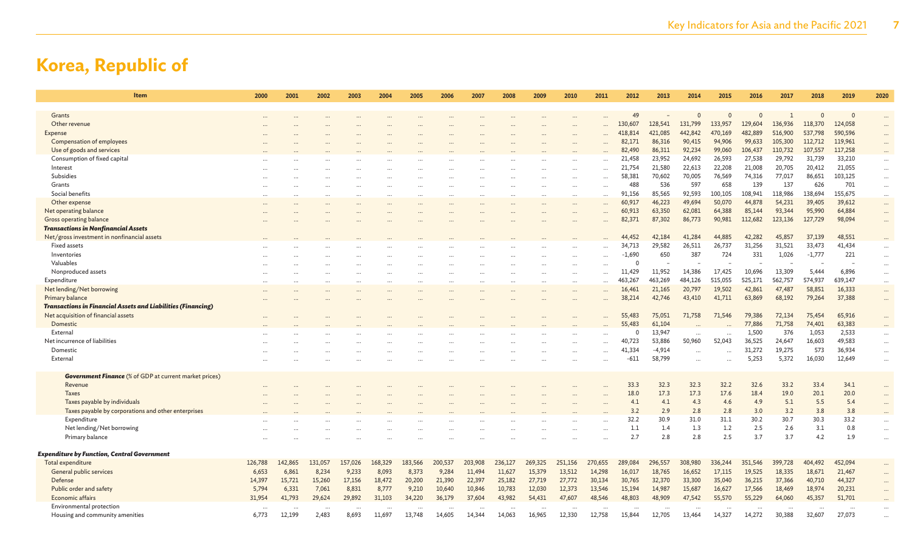| <b>Item</b>                                                           | 2000    | 2001     | 2002    | 2003    | 2004     | 2005    | 2006    | 2007     | 2008    | 2009    | 2010      | 2011     | 2012             | 2013             | 2014              | 2015             | 2016              | 2017              | 2018             | 2019              | 2020      |
|-----------------------------------------------------------------------|---------|----------|---------|---------|----------|---------|---------|----------|---------|---------|-----------|----------|------------------|------------------|-------------------|------------------|-------------------|-------------------|------------------|-------------------|-----------|
|                                                                       |         |          |         |         |          |         |         |          |         |         |           |          |                  |                  |                   |                  |                   |                   |                  |                   |           |
| Grants                                                                |         |          |         |         |          |         |         |          |         |         |           |          | 49               |                  | $\Omega$          | $\mathbf{0}$     | $\Omega$          |                   | $\Omega$         | $\Omega$          |           |
| Other revenue                                                         |         |          |         |         |          |         |         |          |         |         |           |          | 130,607          | 128,541          | 131,799           | 133,957          | 129,604           | 136,936           | 118,370          | 124,058           |           |
| Expense                                                               |         |          |         |         |          |         |         |          |         |         |           |          | 418,814          | 421,085          | 442,842           | 470,169          | 482,889           | 516,900           | 537,798          | 590,596           |           |
| Compensation of employees                                             |         |          |         |         |          |         |         |          |         |         |           |          | 82,171           | 86,316           | 90,415            | 94,906           | 99,633            | 105,300           | 112,712          | 119,961           |           |
| Use of goods and services                                             |         |          |         |         |          |         |         |          |         |         |           |          | 82,490           | 86,311           | 92,234            | 99,060           | 106,437           | 110,732           | 107,557          | 117,258           |           |
| Consumption of fixed capital                                          |         |          |         |         |          |         |         |          |         |         |           |          | 21,458           | 23,952           | 24,692            | 26,593           | 27,538            | 29,792            | 31,739           | 33,210            | $\cdots$  |
| Interest<br>Subsidies                                                 |         |          |         |         |          |         |         |          |         |         |           | $\cdots$ | 21,754<br>58,381 | 21,580<br>70,602 | 22,613            | 22,208           | 21,008            | 20,705<br>77,017  | 20,412           | 21,055<br>103,125 | $\cdots$  |
| Grants                                                                |         |          |         |         |          |         |         |          |         |         |           |          | 488              | 536              | 70,005<br>597     | 76,569<br>658    | 74,316<br>139     | 137               | 86,651<br>626    | 701               | $\cdots$  |
| Social benefits                                                       |         |          |         |         |          |         |         |          |         |         |           | $\cdots$ | 91.156           | 85,565           | 92,593            | 100,105          | 108,941           | 118,986           | 138,694          | 155,675           | $\cdots$  |
|                                                                       |         |          |         |         |          |         |         |          |         |         | $\ddotsc$ | $\cdots$ |                  |                  | 49,694            |                  |                   |                   |                  | 39,612            | $\ldots$  |
| Other expense                                                         |         |          |         |         | $\ddots$ |         |         |          |         |         | $\cdots$  | $\cdots$ | 60,917<br>60,913 | 46,223<br>63,350 | 62,081            | 50,070<br>64,388 | 44,878<br>85,144  | 54,231<br>93,344  | 39,405<br>95,990 | 64,884            | $\cdots$  |
| Net operating balance                                                 |         |          |         |         |          |         |         |          |         |         |           |          |                  |                  |                   |                  |                   |                   |                  |                   | $\ldots$  |
| Gross operating balance<br><b>Transactions in Nonfinancial Assets</b> |         |          |         |         |          |         |         |          |         |         |           |          | 82,371           | 87,302           | 86,773            | 90,981           | 112,682           | 123,136           | 127,729          | 98,094            | $\cdots$  |
| Net/gross investment in nonfinancial assets                           |         |          |         |         |          |         |         |          |         |         |           |          | 44,452           | 42,184           | 41,284            | 44,885           | 42,282            | 45,857            | 37,139           | 48,551            |           |
| Fixed assets                                                          |         |          |         |         |          |         |         |          |         |         |           |          | 34,713           | 29,582           | 26,511            | 26,737           | 31,256            | 31,521            | 33,473           | 41,434            |           |
| Inventories                                                           |         |          |         |         |          |         |         |          |         |         |           |          | $-1,690$         | 650              | 387               | 724              | 331               | 1,026             | $-1,777$         | 221               |           |
| Valuables                                                             |         |          |         |         |          |         |         |          |         |         |           |          |                  |                  |                   |                  |                   |                   |                  |                   |           |
| Nonproduced assets                                                    |         |          |         |         |          |         |         |          |         |         |           |          |                  | 11,952           | 14,386            | 17,425           | 10,696            | 13,309            |                  | 6,896             |           |
|                                                                       |         |          |         |         |          |         |         |          |         |         |           |          | 11,429           | 463,269          |                   | 515,055          |                   |                   | 5,444<br>574,937 |                   | $\cdots$  |
| Expenditure<br>Net lending/Net borrowing                              |         |          |         |         |          |         |         |          |         |         |           | $\cdots$ | 463,267          |                  | 484,126<br>20,797 | 19,502           | 525,171<br>42,861 | 562,757<br>47,487 | 58,851           | 639,147<br>16,333 | $\cdots$  |
| Primary balance                                                       |         |          |         |         |          |         |         |          |         |         |           |          | 16,461<br>38,214 | 21,165<br>42,746 | 43,410            | 41,711           | 63,869            | 68,192            | 79,264           | 37,388            | $\cdots$  |
| <b>Transactions in Financial Assets and Liabilities (Financing)</b>   |         |          |         |         |          |         |         |          |         |         |           |          |                  |                  |                   |                  |                   |                   |                  |                   | $\cdots$  |
| Net acquisition of financial assets                                   |         |          |         |         |          |         |         |          |         |         |           |          | 55,483           | 75,051           | 71,758            | 71,546           | 79,386            | 72,134            | 75,454           | 65,916            |           |
| Domestic                                                              |         |          |         |         |          |         |         |          |         |         |           |          | 55,483           | 61,104           |                   |                  | 77,886            | 71,758            | 74,401           | 63,383            |           |
| External                                                              |         |          |         |         |          |         |         |          |         |         |           |          |                  | 13,947           |                   |                  | 1,500             | 376               | 1,053            | 2,533             |           |
| Net incurrence of liabilities                                         |         |          |         |         |          |         |         |          |         |         |           |          | 40.723           | 53,886           | 50,960            | 52,043           | 36,525            | 24,647            | 16,603           | 49,583            | $\cdots$  |
| Domestic                                                              |         |          |         |         |          |         |         |          |         |         |           |          | 41,334           | $-4,914$         |                   |                  | 31,272            | 19,275            | 573              | 36,934            | $\cdots$  |
| External                                                              |         |          |         |         |          |         |         |          |         |         |           |          | $-611$           | 58,799           |                   |                  | 5,253             | 5,372             | 16.030           | 12,649            | $\cdots$  |
|                                                                       |         |          |         |         |          |         |         |          |         |         |           |          |                  |                  |                   |                  |                   |                   |                  |                   | $\ddotsc$ |
| <b>Government Finance</b> (% of GDP at current market prices)         |         |          |         |         |          |         |         |          |         |         |           |          |                  |                  |                   |                  |                   |                   |                  |                   |           |
| Revenue                                                               |         |          |         |         |          |         |         |          |         |         |           |          | 33.3             | 32.3             | 32.3              | 32.2             | 32.6              | 33.2              | 33.4             | 34.1              | $\ddots$  |
| <b>Taxes</b>                                                          |         |          |         |         |          |         |         |          |         |         |           |          | 18.0             | 17.3             | 17.3              | 17.6             | 18.4              | 19.0              | 20.1             | 20.0              |           |
| Taxes payable by individuals                                          |         |          |         |         |          |         |         |          |         |         |           |          | 4.1              | 4.1              | 4.3               | 4.6              | 4.9               | 5.1               | 5.5              | 5.4               |           |
| Taxes payable by corporations and other enterprises                   |         |          |         |         |          |         |         |          |         |         |           |          | 3.2              | 2.9              | 2.8               | 2.8              | 3.0               | 3.2               | 3.8              | 3.8               |           |
| Expenditure                                                           |         |          |         |         |          |         |         |          |         |         |           |          | 32.2             | 30.9             | 31.0              | 31.1             | 30.2              | 30.7              | 30.3             | 33.2              |           |
| Net lending/Net borrowing                                             |         |          |         |         |          |         |         |          |         |         |           |          | $1.1$            | 1.4              | 1.3               | 1.2              | 2.5               | 2.6               | 3.1              | 0.8               | $\ddotsc$ |
| Primary balance                                                       |         |          |         |         |          |         |         |          |         |         |           |          | 2.7              | 2.8              | 2.8               | 2.5              | 3.7               | 3.7               | 4.2              | 1.9               | $\ddotsc$ |
|                                                                       |         |          |         |         |          |         |         |          |         |         |           |          |                  |                  |                   |                  |                   |                   |                  |                   |           |
| <b>Expenditure by Function, Central Government</b>                    |         |          |         |         |          |         |         |          |         |         |           |          |                  |                  |                   |                  |                   |                   |                  |                   |           |
| Total expenditure                                                     | 126,788 | 142,865  | 131,057 | 157,026 | 168,329  | 183,566 | 200,537 | 203,908  | 236,127 | 269,325 | 251,156   | 270,655  | 289,084          | 296,557          | 308,980           | 336,244          | 351,546           | 399,728           | 404,492          | 452,094           |           |
| General public services                                               | 6,653   | 6,861    | 8,234   | 9,233   | 8,093    | 8,373   | 9,284   | 11,494   | 11,627  | 15,379  | 13,512    | 14,298   | 16,017           | 18,765           | 16,652            | 17,115           | 19,525            | 18,335            | 18,671           | 21,467            | $\cdots$  |
| Defense                                                               | 14,397  | 15,721   | 15,260  | 17,156  | 18,472   | 20,200  | 21,390  | 22,397   | 25,182  | 27,719  | 27,772    | 30,134   | 30,765           | 32,370           | 33,300            | 35,040           | 36,215            | 37,366            | 40,710           | 44,327            | $\ddots$  |
| Public order and safety                                               | 5,794   | 6,331    | 7,061   | 8,831   | 8,777    | 9,210   | 10,640  | 10,846   | 10,783  | 12,030  | 12,373    | 13,546   | 15,194           | 14,987           | 15,687            | 16,627           | 17,566            | 18,469            | 18,974           | 20,231            | $\ddots$  |
| Economic affairs                                                      | 31,954  | 41,793   | 29,624  | 29,892  | 31,103   | 34,220  | 36,179  | 37,604   | 43,982  | 54,431  | 47,607    | 48,546   | 48,803           | 48,909           | 47,542            | 55,570           | 55,229            | 64,060            | 45,357           | 51,701            |           |
| Environmental protection                                              |         | $\cdots$ |         |         | $\cdots$ |         |         | $\cdots$ |         |         | $\cdots$  | $\cdots$ |                  |                  |                   | $\cdots$         |                   |                   |                  |                   |           |
| Housing and community amenities                                       | 6,773   | 12.199   | 2.483   | 8.693   | 11.697   | 13.748  | 14,605  | 14.344   | 14.063  | 16.965  | 12.330    | 12,758   | 15.844           | 12,705           | 13,464            | 14.327           | 14.272            | 30,388            | 32,607           | 27,073            |           |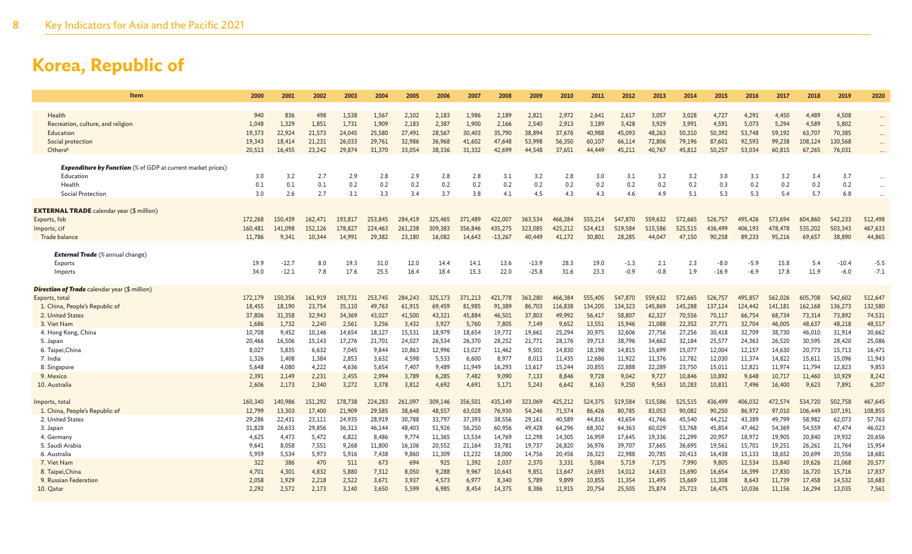| Item                                                                                                                                                                                                           | 2000                                                                       | 2001                                                                      | 2002                                                                       | 2003                                                                       | 2004                                                                       | 2005                                                                        | 2006                                                                        | 2007                                                                         | 2008                                                                         | 2009                                                                         | 2010                                                                          | 2011                                                                           | 2012                                                                           | 2013                                                                           | 2014                                                                           | 2015                                                                           | 2016                                                                           | 2017                                                                           | 2018                                                                           | 2019                                                                           | 2020                                                                           |
|----------------------------------------------------------------------------------------------------------------------------------------------------------------------------------------------------------------|----------------------------------------------------------------------------|---------------------------------------------------------------------------|----------------------------------------------------------------------------|----------------------------------------------------------------------------|----------------------------------------------------------------------------|-----------------------------------------------------------------------------|-----------------------------------------------------------------------------|------------------------------------------------------------------------------|------------------------------------------------------------------------------|------------------------------------------------------------------------------|-------------------------------------------------------------------------------|--------------------------------------------------------------------------------|--------------------------------------------------------------------------------|--------------------------------------------------------------------------------|--------------------------------------------------------------------------------|--------------------------------------------------------------------------------|--------------------------------------------------------------------------------|--------------------------------------------------------------------------------|--------------------------------------------------------------------------------|--------------------------------------------------------------------------------|--------------------------------------------------------------------------------|
| Health<br>Recreation, culture, and religion<br>Education<br>Social protection<br>OthersP                                                                                                                       | 940<br>1,048<br>19,373<br>19,343<br>20,513                                 | 836<br>1,329<br>22,924<br>18,414<br>16,455                                | 498<br>1,851<br>21,573<br>21,231<br>23,242                                 | 1,538<br>1,731<br>24,045<br>26,033<br>29,874                               | 1,567<br>1,909<br>25,580<br>29,761<br>31,370                               | 2,102<br>2,183<br>27,491<br>32,986<br>33,054                                | 2,183<br>2,387<br>28,567<br>36,968<br>38,336                                | 1,986<br>1,900<br>30,403<br>41,602<br>31,332                                 | 2,189<br>2,166<br>35,790<br>47,648<br>42,699                                 | 2,821<br>2,540<br>38,894<br>53,998<br>44,548                                 | 2,972<br>2,913<br>37,676<br>56,350<br>37,651                                  | 2,641<br>3,189<br>40,988<br>60,107<br>44,449                                   | 2,617<br>3,428<br>45,093<br>66,114<br>45,211                                   | 3,057<br>3,929<br>48,263<br>72,806<br>40,767                                   | 3,028<br>3,991<br>50,310<br>79,196<br>45,812                                   | 4,727<br>4,591<br>50,392<br>87,601<br>50,257                                   | 4,291<br>5,073<br>53,748<br>92,593<br>53,034                                   | 4,450<br>5,294<br>59,192<br>99,238<br>60,815                                   | 4,489<br>4,589<br>63,707<br>108,124<br>67,265                                  | 4,508<br>5,802<br>70,385<br>130,568<br>76,031                                  | $\cdots$<br>$\cdots$<br>$\cdots$<br>$\cdots$                                   |
| <b>Expenditure by Function</b> (% of GDP at current market prices)<br>Education<br>Health<br>Social Protection                                                                                                 | 3.0<br>0.1<br>3.0                                                          | 3.2<br>0.1<br>2.6                                                         | 2.7<br>0.1<br>2.7                                                          | 2.9<br>0.2<br>3.1                                                          | 2.8<br>0.2<br>3.3                                                          | 2.9<br>0.2<br>3.4                                                           | 2.8<br>0.2<br>3.7                                                           | 2.8<br>0.2<br>3.8                                                            | 3.1<br>0.2<br>4.1                                                            | 3.2<br>0.2<br>4.5                                                            | 2.8<br>0.2<br>4.3                                                             | 3.0<br>0.2<br>4.3                                                              | 3.1<br>0.2<br>4.6                                                              | 3.2<br>0.2<br>4.9                                                              | 3.2<br>0.2<br>5.1                                                              | 3.0<br>0.3<br>5.3                                                              | 3.1<br>0.2<br>5.3                                                              | 3.2<br>0.2<br>5.4                                                              | 3.4<br>0.2<br>5.7                                                              | 3.7<br>0.2<br>6.8                                                              | $\cdots$<br>$\cdots$                                                           |
| <b>EXTERNAL TRADE</b> calendar year (\$ million)<br>Exports, fob<br>Imports, cif<br>Trade balance<br><b>External Trade</b> (% annual change)                                                                   | 172,268<br>160,481<br>11,786                                               | 150,439<br>141,098<br>9,341                                               | 162,471<br>152,126<br>10,344                                               | 193,817<br>178,827<br>14.991                                               | 253,845<br>224,463<br>29,382                                               | 284,419<br>261,238<br>23,180                                                | 325,465<br>309,383<br>16,082                                                | 371,489<br>356,846<br>14.643                                                 | 422,007<br>435,275<br>$-13.267$                                              | 363,534<br>323,085<br>40,449                                                 | 466,384<br>425,212<br>41,172                                                  | 555,214<br>524,413<br>30,801                                                   | 547,870<br>519,584<br>28,285                                                   | 559,632<br>515,586<br>44,047                                                   | 572,665<br>525,515<br>47,150                                                   | 526,757<br>436,499<br>90,258                                                   | 495,426<br>406,193<br>89,233                                                   | 573.694<br>478,478<br>95,216                                                   | 604,860<br>535,202<br>69,657                                                   | 542,233<br>503,343<br>38,890                                                   | 512,498<br>467,633<br>44,865                                                   |
| Exports<br>Imports                                                                                                                                                                                             | 19.9<br>34.0                                                               | $-12.7$<br>$-12.1$                                                        | 8.0<br>7.8                                                                 | 19.3<br>17.6                                                               | 31.0<br>25.5                                                               | 12.0<br>16.4                                                                | 14.4<br>18.4                                                                | 14.1<br>15.3                                                                 | 13.6<br>22.0                                                                 | $-13.9$<br>$-25.8$                                                           | 28.3<br>31.6                                                                  | 19.0<br>23.3                                                                   | $-1.3$<br>$-0.9$                                                               | 2.1<br>$-0.8$                                                                  | 2.3<br>1.9                                                                     | $-8.0$<br>$-16.9$                                                              | $-5.9$<br>$-6.9$                                                               | 15.8<br>17.8                                                                   | 5.4<br>11.9                                                                    | $-10.4$<br>$-6.0$                                                              | $-5.5$<br>$-7.1$                                                               |
| <b>Direction of Trade</b> calendar year (\$ million)<br>Exports, total<br>1. China, People's Republic of<br>2. United States<br>3. Viet Nam<br>4. Hong Kong, China<br>5. Japan<br>6. Taipei, China<br>7. India | 172,179<br>18,455<br>37,806<br>1,686<br>10,708<br>20,466<br>8,027<br>1,326 | 150,356<br>18,190<br>31,358<br>1,732<br>9,452<br>16,506<br>5,835<br>1,408 | 161.919<br>23,754<br>32,943<br>2,240<br>10,146<br>15,143<br>6,632<br>1,384 | 193,731<br>35,110<br>34,369<br>2,561<br>14,654<br>17,276<br>7.045<br>2,853 | 253,745<br>49,763<br>43,027<br>3,256<br>18,127<br>21,701<br>9,844<br>3,632 | 284,243<br>61,915<br>41,500<br>3,432<br>15,531<br>24,027<br>10,863<br>4,598 | 325,173<br>69,459<br>43,321<br>3,927<br>18,979<br>26,534<br>12,996<br>5,533 | 371,213<br>81,985<br>45,884<br>5,760<br>18,654<br>26,370<br>13,027<br>6,600  | 421,778<br>91,389<br>46,501<br>7,805<br>19,772<br>28,252<br>11.462<br>8,977  | 363,280<br>86,703<br>37,803<br>7,149<br>19,661<br>21,771<br>9,501<br>8,013   | 466,384<br>116,838<br>49,992<br>9,652<br>25,294<br>28,176<br>14,830<br>11,435 | 555,405<br>134,205<br>56,417<br>13.551<br>30,975<br>39,713<br>18.198<br>12,686 | 547,870<br>134,323<br>58,807<br>15.946<br>32,606<br>38,796<br>14,815<br>11,922 | 559,632<br>145,869<br>62,327<br>21,088<br>27,756<br>34,662<br>15,699<br>11,376 | 572,665<br>145,288<br>70,556<br>22,352<br>27,256<br>32,184<br>15,077<br>12,782 | 526,757<br>137,124<br>70,117<br>27,771<br>30,418<br>25,577<br>12,004<br>12,030 | 495,857<br>124,442<br>66,754<br>32,704<br>32,709<br>24,363<br>12,157<br>11,374 | 562,026<br>141,181<br>68,734<br>46,005<br>38,730<br>26,520<br>14,630<br>14,822 | 605,708<br>162,168<br>73,314<br>48,637<br>46,010<br>30,595<br>20,773<br>15,611 | 542,602<br>136,273<br>73,892<br>48,218<br>31,914<br>28,420<br>15,713<br>15,096 | 512,647<br>132,580<br>74,531<br>48,517<br>30,662<br>25,086<br>16,471<br>11,943 |
| 8. Singapore<br>9. Mexico<br>10. Australia                                                                                                                                                                     | 5.648<br>2,391<br>2,606                                                    | 4.080<br>2,149<br>2,173                                                   | 4,222<br>2,231<br>2,340                                                    | 4.636<br>2,455<br>3,272                                                    | 5,654<br>2,994<br>3,378                                                    | 7.407<br>3,789<br>3,812                                                     | 9.489<br>6,285<br>4,692                                                     | 11,949<br>7,482<br>4,691                                                     | 16.293<br>9,090<br>5,171                                                     | 13.617<br>7,133<br>5,243                                                     | 15,244<br>8,846<br>6,642                                                      | 20,855<br>9,728<br>8,163                                                       | 22,888<br>9,042<br>9,250                                                       | 22,289<br>9,727<br>9,563                                                       | 23,750<br>10,846<br>10,283                                                     | 15,011<br>10,892<br>10,831                                                     | 12,821<br>9,648<br>7,496                                                       | 11,974<br>10,717<br>16,400                                                     | 11,794<br>11,460<br>9,623                                                      | 12,823<br>10,929<br>7,891                                                      | 9,853<br>8,242<br>6,207                                                        |
| Imports, total<br>1. China, People's Republic of<br>2. United States<br>3. Japan<br>4. Germany<br>5. Saudi Arabia<br>6. Australia<br>7. Viet Nam                                                               | 160,340<br>12,799<br>29,286<br>31,828<br>4,625<br>9,641<br>5.959<br>322    | 140,986<br>13,303<br>22,431<br>26,633<br>4,473<br>8,058<br>5.534<br>386   | 151,292<br>17,400<br>23,111<br>29,856<br>5,472<br>7,551<br>5.973<br>470    | 178,738<br>21,909<br>24,935<br>36,313<br>6,822<br>9,268<br>5.916<br>511    | 224,283<br>29,585<br>28,919<br>46,144<br>8,486<br>11,800<br>7,438<br>673   | 261,097<br>38,648<br>30,788<br>48,403<br>9.774<br>16,106<br>9.860<br>694    | 309,146<br>48,557<br>33,797<br>51,926<br>11,365<br>20,552<br>11,309<br>925  | 356,501<br>63,028<br>37,393<br>56,250<br>13,534<br>21,164<br>13,232<br>1,392 | 435,149<br>76,930<br>38,556<br>60,956<br>14.769<br>33,781<br>18,000<br>2,037 | 323,069<br>54,246<br>29,161<br>49,428<br>12,298<br>19,737<br>14.756<br>2,370 | 425,212<br>71,574<br>40,589<br>64,296<br>14,305<br>26,820<br>20,456<br>3,331  | 524,375<br>86,426<br>44,816<br>68,302<br>16,959<br>36,976<br>26,323<br>5,084   | 519,584<br>80,785<br>43,654<br>64,363<br>17.645<br>39,707<br>22,988<br>5,719   | 515,586<br>83,053<br>41,766<br>60,029<br>19,336<br>37,665<br>20,785<br>7,175   | 525,515<br>90,082<br>45,540<br>53,768<br>21,299<br>36,695<br>20,413<br>7,990   | 436,499<br>90,250<br>44,212<br>45,854<br>20,957<br>19,561<br>16,438<br>9,805   | 406,032<br>86,972<br>43,389<br>47,462<br>18,972<br>15,701<br>15,133<br>12,534  | 472,574<br>97,010<br>49,799<br>54,369<br>19,905<br>19,251<br>18,652<br>15,840  | 534,720<br>106,449<br>58,982<br>54,559<br>20,840<br>26,261<br>20,699<br>19,626 | 502,758<br>107,191<br>62,073<br>47,474<br>19,932<br>21,764<br>20,556<br>21,068 | 467,645<br>108,855<br>57,763<br>46,023<br>20,656<br>15,954<br>18,681<br>20,577 |
| 8. Taipei, China<br>9. Russian Federation<br>10. Qatar                                                                                                                                                         | 4,701<br>2,058<br>2.292                                                    | 4,301<br>1,929<br>2,572                                                   | 4,832<br>2,218<br>2,173                                                    | 5,880<br>2,522<br>3,140                                                    | 7,312<br>3,671<br>3,650                                                    | 8,050<br>3.937<br>5.599                                                     | 9.288<br>4,573<br>6,985                                                     | 9,967<br>6,977<br>8,454                                                      | 10,643<br>8,340<br>14.375                                                    | 9,851<br>5,789<br>8.386                                                      | 13,647<br>9,899<br>11,915                                                     | 14,693<br>10.855<br>20,754                                                     | 14,012<br>11,354<br>25,505                                                     | 14,633<br>11,495<br>25,874                                                     | 15,690<br>15,669<br>25,723                                                     | 16,654<br>11,308<br>16,475                                                     | 16,399<br>8,643<br>10,036                                                      | 17,830<br>11,739<br>11,156                                                     | 16,720<br>17,458<br>16,294                                                     | 15,716<br>14,532<br>13,035                                                     | 17,837<br>10,683<br>7,561                                                      |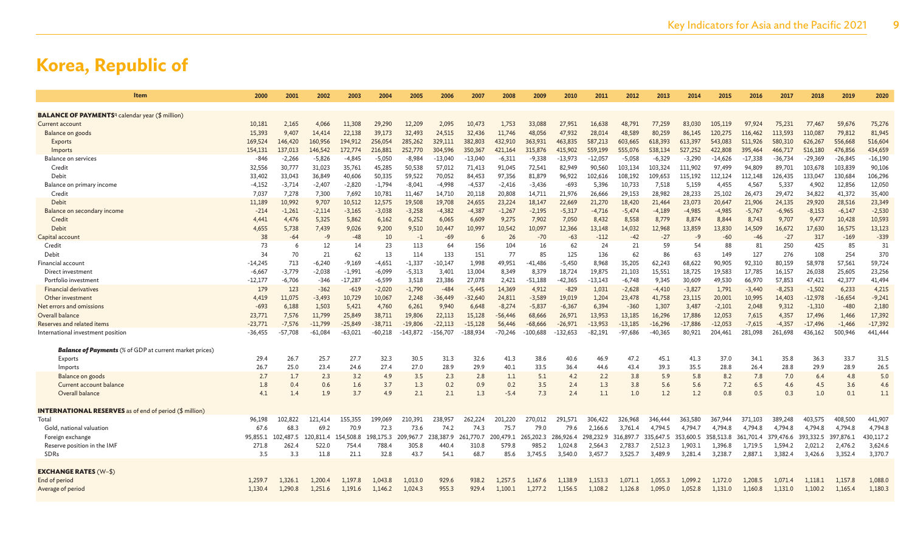| Item                                                               | 2000       | 2001       | 2002       | 2003       | 2004       | 2005         | 2006       | 2007       | 2008       | 2009       | 2010       | 2011       | 2012       | 2013         | 2014       | 2015       | 2016       | 2017       | 2018       | 2019        | 2020         |
|--------------------------------------------------------------------|------------|------------|------------|------------|------------|--------------|------------|------------|------------|------------|------------|------------|------------|--------------|------------|------------|------------|------------|------------|-------------|--------------|
| <b>BALANCE OF PAYMENTS</b> <sup>q</sup> calendar year (\$ million) |            |            |            |            |            |              |            |            |            |            |            |            |            |              |            |            |            |            |            |             |              |
| Current account                                                    | 10,181     | 2,165      | 4,066      | 11,308     | 29,290     | 12,209       | 2,095      | 10,473     | 1,753      | 33,088     | 27,951     | 16,638     | 48,791     | 77,259       | 83,030     | 105,119    | 97,924     | 75,231     | 77,467     | 59,676      | 75,276       |
| Balance on goods                                                   | 15,393     | 9,407      | 14,414     | 22,138     | 39,173     | 32,493       | 24,515     | 32,436     | 11.746     | 48,056     | 47,932     | 28,014     | 48,589     | 80,259       | 86,145     | 120.275    | 116,462    | 113,593    | 110,087    | 79,812      | 81,945       |
| Exports                                                            | 169,524    | 146,420    | 160,956    | 194,912    | 256,054    | 285,262      | 329,111    | 382,803    | 432,910    | 363,931    | 463,835    | 587,213    | 603,665    | 618,393      | 613,397    | 543,083    | 511,926    | 580,310    | 626,267    | 556,668     | 516,604      |
| Imports                                                            | 154,131    | 137,013    | 146,542    | 172,774    | 216,881    | 252,770      | 304.596    | 350,367    | 421.164    | 315,876    | 415,902    | 559,199    | 555,076    | 538,134      | 527.252    | 422,808    | 395,464    | 466,717    | 516,180    | 476,856     | 434,659      |
| <b>Balance on services</b>                                         | $-846$     | $-2,266$   | $-5,826$   | $-4,845$   | $-5,050$   | $-8,984$     | $-13,040$  | $-13,040$  | $-6,311$   | $-9,338$   | $-13,973$  | $-12,057$  | $-5.058$   | $-6,329$     | $-3,290$   | $-14,626$  | $-17,338$  | $-36,734$  | $-29,369$  | $-26,845$   | $-16,190$    |
| Credit                                                             | 32,556     | 30,777     | 31.023     | 35,761     | 45,285     | 50.538       | 57.012     | 71,413     | 91,045     | 72.541     | 82,949     | 90,560     | 103.134    | 103,324      | 111.902    | 97.499     | 94,809     | 89,701     | 103,678    | 103,839     | 90,106       |
| Debit                                                              | 33,402     | 33,043     | 36,849     | 40,606     | 50,335     | 59,522       | 70,052     | 84,453     | 97,356     | 81,879     | 96,922     | 102,616    | 108,192    | 109,653      | 115,192    | 112,124    | 112,148    | 126,435    | 133,047    | 130,684     | 106,296      |
| Balance on primary income                                          | $-4,152$   | $-3,714$   | $-2,407$   | $-2,820$   | $-1,794$   | $-8,041$     | $-4,998$   | $-4,537$   | $-2,416$   | $-3,436$   | $-693$     | 5,396      | 10,733     | 7,518        | 5,159      | 4,455      | 4,567      | 5,337      | 4,902      | 12,856      | 12,050       |
| Credit                                                             | 7,037      | 7,278      | 7,300      | 7,692      | 10,781     | 11,467       | 14.710     | 20,118     | 20,808     | 14,711     | 21,976     | 26,666     | 29,153     | 28,982       | 28,233     | 25,102     | 26,473     | 29,472     | 34,822     | 41,372      | 35,400       |
| Debit                                                              | 11,189     | 10,992     | 9,707      | 10,512     | 12,575     | 19,508       | 19,708     | 24,655     | 23,224     | 18,147     | 22,669     | 21,270     | 18,420     | 21,464       | 23,073     | 20,647     | 21,906     | 24,135     | 29,920     | 28,516      | 23,349       |
| Balance on secondary income                                        | $-214$     | $-1,261$   | $-2,114$   | $-3,165$   | $-3,038$   | $-3.258$     | $-4.382$   | $-4,387$   | $-1.267$   | $-2,195$   | $-5,317$   | $-4.716$   | $-5.474$   | $-4.189$     | $-4,985$   | $-4.985$   | $-5,767$   | $-6.965$   | $-8,153$   | $-6,147$    | $-2,530$     |
| Credit                                                             | 4.441      | 4,476      | 5,325      | 5,862      | 6,162      | 6,252        | 6,065      | 6,609      | 9,275      | 7,902      | 7,050      | 8,432      | 8.558      | 8,779        | 8,874      | 8.844      | 8,743      | 9,707      | 9,477      | 10,428      | 10,593       |
| <b>Debit</b>                                                       | 4,655      | 5,738      | 7,439      | 9,026      | 9,200      | 9,510        | 10,447     | 10,997     | 10,542     | 10,097     | 12,366     | 13,148     | 14,032     | 12,968       | 13,859     | 13,830     | 14,509     | 16,672     | 17,630     | 16,575      | 13,123       |
| Capital account                                                    | 38         | $-64$      | $-9$       | -48        | 10         | $-1$         | $-69$      | 6          | 26         | $-70$      | $-63$      | $-112$     | $-42$      | $-27$        | -9         | $-60$      | $-46$      | $-27$      | 317        | $-169$      | $-339$       |
| Credit                                                             | 73         | -6         | 12         | 14         | 23         | 113          | 64         | 156        | 104        | 16         | 62         | 24         | 21         | 59           | 54         | 88         | 81         | 250        | 425        | 85          | 31           |
| Debit                                                              | 34         | 70         | 21         | 62         | 13         | 114          | 133        | 151        | 77         | 85         | 125        | 136        | 62         | 86           | 63         | 149        | 127        | 276        | 108        | 254         | 370          |
| Financial account                                                  | $-14,245$  | 713        | $-6,240$   | $-9,169$   | $-4,651$   | $-1,337$     | $-10,147$  | 1,998      | 49,951     | $-41,486$  | $-5,450$   | 8,968      | 35,205     | 62,243       | 68,622     | 90,905     | 92,310     | 80,159     | 58,978     | 57,561      | 59,724       |
| Direct investment                                                  | $-6,667$   | $-3,779$   | $-2,038$   | $-1,991$   | $-6,099$   | $-5,313$     | 3,401      | 13,004     | 8,349      | 8,379      | 18,724     | 19,875     | 21,103     | 15,551       | 18,725     | 19,583     | 17,785     | 16,157     | 26,038     | 25,605      | 23,256       |
| Portfolio investment                                               | $-12,177$  | $-6,706$   | $-346$     | $-17,287$  | $-6,599$   | 3,518        | 23,386     | 27,078     | 2,421      | $-51,188$  | $-42,365$  | $-13,143$  | $-6,748$   | 9,345        | 30,609     | 49,530     | 66,970     | 57,853     | 47,421     | 42,377      | 41,494       |
| <b>Financial derivatives</b>                                       | 179        | 123        | $-362$     | $-619$     | $-2,020$   | $-1.790$     | $-484$     | $-5,445$   | 14.369     | 4,912      | $-829$     | 1,031      | $-2,628$   | $-4,410$     | $-3,827$   | 1,791      | $-3,440$   | $-8,253$   | $-1,502$   | 6,233       | 4,215        |
| Other investment                                                   | 4.419      | 11,075     | $-3,493$   | 10,729     | 10,067     | 2,248        | $-36,449$  | $-32,640$  | 24,811     | $-3,589$   | 19,019     | 1,204      | 23,478     | 41,758       | 23,115     | 20,001     | 10,995     | 14,403     | $-12,978$  | $-16,654$   | $-9,241$     |
| Net errors and omissions                                           | $-693$     | 6,188      | 1,503      | 5,421      | 4,760      | 6,261        | 9,940      | 6,648      | $-8,274$   | $-5,837$   | $-6,367$   | 6,394      | $-360$     | 1,307        | 3,487      | $-2,101$   | 2,048      | 9,312      | $-1,310$   | $-480$      | 2,180        |
| Overall balance                                                    | 23,771     | 7,576      | 11,799     | 25,849     | 38,711     | 19,806       | 22,113     | 15,128     | -56,446    | 68,666     | 26,971     | 13,953     | 13,185     | 16,296       | 17,886     | 12,053     | 7,615      | 4,357      | 17,496     | 1,466       | 17,392       |
| Reserves and related items                                         | $-23,771$  | $-7.576$   | $-11.799$  | $-25.849$  | -38.711    | $-19,806$    | $-22.113$  | $-15.128$  | 56,446     | -68.666    | $-26,971$  | $-13.953$  | $-13.185$  | $-16,296$    | $-17,886$  | $-12.053$  | $-7.615$   | $-4,357$   | $-17.496$  | $-1,466$    | $-17,392$    |
| International investment position                                  | $-36,455$  | $-57,708$  | $-61,084$  | $-63,021$  | $-60,218$  | $-143,872$   | $-156,707$ | 188,934    | $-70,246$  | $-100.688$ | $-132,653$ | $-82,191$  | $-97,686$  | $-40,365$    | 80,921     | 204.461    | 281,098    | 261,698    | 436,162    | 500,946     | 441,444      |
|                                                                    |            |            |            |            |            |              |            |            |            |            |            |            |            |              |            |            |            |            |            |             |              |
| <b>Balance of Payments</b> (% of GDP at current market prices)     |            | 26.7       | 25.7       |            | 32.3       |              |            | 32.6       |            |            |            |            |            |              |            |            |            |            |            | 33.7        |              |
| Exports                                                            | 29.4       |            |            | 27.7       |            | 30.5<br>27.0 | 31.3       | 29.9       | 41.3       | 38.6       | 40.6       | 46.9       | 47.2       | 45.1<br>39.3 | 41.3       | 37.0       | 34.1       | 35.8       | 36.3       |             | 31.5<br>26.5 |
| Imports                                                            | 26.7       | 25.0       | 23.4       | 24.6       | 27.4       | 3.5          | 28.9       |            | 40.1       | 33.5       | 36.4       | 44.6       | 43.4       |              | 35.5       | 28.8       | 26.4       | 28.8       | 29.9       | 28.9<br>4.8 | 5.0          |
| Balance on goods<br>Current account balance                        | 2.7<br>1.8 | 1.7<br>0.4 | 2.3<br>0.6 | 3.2<br>1.6 | 4.9<br>3.7 | 1.3          | 2.3<br>0.2 | 2.8<br>0.9 | 1.1<br>0.2 | 5.1<br>3.5 | 4.2<br>2.4 | 2.2<br>1.3 | 3.8<br>3.8 | 5.9<br>5.6   | 5.8<br>5.6 | 8.2<br>7.2 | 7.8<br>6.5 | 7.0<br>4.6 | 6.4<br>4.5 | 3.6         | 4.6          |
| Overall balance                                                    | 4.1        | 1.4        | 1.9        | 3.7        | 4.9        | 2.1          | 2.1        | 1.3        | $-5.4$     | 7.3        | 2.4        | 1.1        | 1.0        | 1.2          | 1.2        | 0.8        | 0.5        | 0.3        | 1.0        | 0.1         | 1.1          |
|                                                                    |            |            |            |            |            |              |            |            |            |            |            |            |            |              |            |            |            |            |            |             |              |
| <b>INTERNATIONAL RESERVES</b> as of end of period (\$ million)     |            |            |            |            |            |              |            |            |            |            |            |            |            |              |            |            |            |            |            |             |              |
| Total                                                              | 96,198     | 102,822    | 121.414    | 155,355    | 199,069    | 210.391      | 238,957    | 262,224    | 201.220    | 270,012    | 291.571    | 306,422    | 326,968    | 346,444      | 363,580    | 367,944    | 371,103    | 389,248    | 403,575    | 408,500     | 441,907      |
| Gold, national valuation                                           | 67.6       | 68.3       | 69.2       | 70.9       | 72.3       | 73.6         | 74.2       | 74.3       | 75.7       | 79.0       | 79.6       | 2,166.6    | 3,761.4    | 4,794.5      | 4.794.7    | 4,794.8    | 4.794.8    | 4.794.8    | 4,794.8    | 4,794.8     | 4,794.8      |
| Foreign exchange                                                   | 95,855.1   | 102,487.5  | 120,811.4  | 54,508.8   | 198,175.3  | 209,967.7    | 238,387.9  | 261,770.7  | 200,479.1  | 265,202.3  | 286,926.4  | 298,232.9  | 316,897.7  | 335,647.5    | 353,600.5  | 358,513.8  | 361,701.4  | 379,476.6  | 393,332.5  | 397,876.1   | 430,117.2    |
| Reserve position in the IMF                                        | 271.8      | 262.4      | 522.0      | 754.       | 788.4      | 305.8        | 440.       | 310.8      | 579.8      | 985.2      | 1.024.8    | 2.564.3    | 2.783.7    | 2.512.3      | 1.903.1    | 1.396.8    | 1.719.5    | 1.594.2    | 2.021.2    | 2,476.2     | 3,624.6      |
| <b>SDRs</b>                                                        | 3.5        | 3.3        | 11.8       | 21.1       | 32.8       | 43.7         | 54.1       | 68.7       | 85.6       | 3.745.5    | 3.540.0    | 3,457.7    | 3.525.7    | 3.489.9      | 3.281.4    | 3.238.7    | 2,887.1    | 3.382.4    | 3.426.6    | 3,352.4     | 3,370.7      |
|                                                                    |            |            |            |            |            |              |            |            |            |            |            |            |            |              |            |            |            |            |            |             |              |
| <b>EXCHANGE RATES (W-\$)</b>                                       |            |            |            |            |            |              |            |            |            |            |            |            |            |              |            |            |            |            |            |             |              |
| End of period                                                      | 1.259.7    | 1.326.1    | 1.200.4    | 1,197.8    | 1,043.8    | 1,013.0      | 929.6      | 938.2      | 1.257.5    | 1.167.6    | 1,138.9    | 1,153.3    | 1.071.1    | 1,055.3      | 1.099.2    | 1.172.0    | 1,208.5    | 1.071.4    | 1,118.1    | 1,157.8     | 1,088.0      |
| Average of period                                                  | 1,130.4    | 1,290.8    | 1,251.6    | 1,191.6    | 1,146.2    | 1,024.3      | 955.3      | 929.4      | 1,100.1    | 1,277.2    | 1,156.5    | 1,108.2    | 1,126.8    | 1,095.0      | 1,052.8    | 1,131.0    | 1,160.8    | 1,131.0    | 1,100.2    | 1,165.4     | 1,180.3      |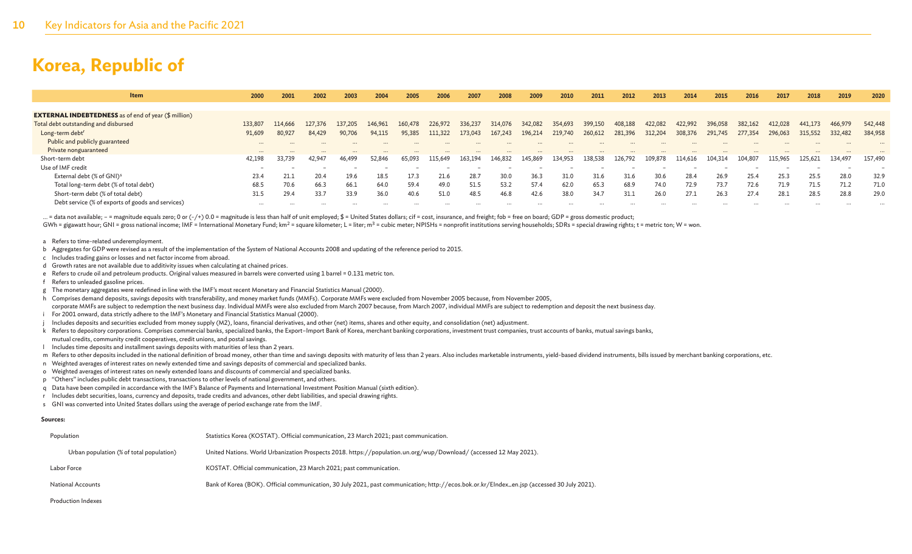| <b>Item</b>                                                 | 2000     | 2001     | 2002    | 2003    | 2004    | 2005    | 2006    | 2007    | 2008    | 2009    | 2010    | 2011    | 2012    | 2013    | 2014    | 2015    | 2016    | 2017    | 2018    | 2019    | 2020    |
|-------------------------------------------------------------|----------|----------|---------|---------|---------|---------|---------|---------|---------|---------|---------|---------|---------|---------|---------|---------|---------|---------|---------|---------|---------|
|                                                             |          |          |         |         |         |         |         |         |         |         |         |         |         |         |         |         |         |         |         |         |         |
| <b>EXTERNAL INDEBTEDNESS</b> as of end of year (\$ million) |          |          |         |         |         |         |         |         |         |         |         |         |         |         |         |         |         |         |         |         |         |
| Total debt outstanding and disbursed                        | 133,807  | 114,666  | 127.376 | 137.205 | 146.961 | 160,478 | 226,972 | 336,237 | 314.076 | 342,082 | 354,693 | 399,150 | 408,188 | 422,082 | 422,992 | 396,058 | 382,162 | 412,028 | 441,173 | 466,979 | 542,448 |
| Long-term debt <sup>r</sup>                                 | 91,609   | 80,927   | 84,429  | 90,706  | 94,115  | 95,385  | 111,322 | 173,043 | 167,243 | 196,214 | 219,740 | 260,612 | 281,396 | 312,204 | 308,37  | 291,745 | 277,354 | 296,063 | 315,552 | 332,482 | 384,958 |
| Public and publicly guaranteed                              | $\cdots$ | $\cdots$ |         |         |         |         |         |         |         |         |         |         |         |         |         |         |         |         |         |         |         |
| Private nonguaranteed                                       | $\cdots$ | $\cdots$ |         |         |         |         |         |         |         |         |         |         |         |         |         |         |         |         |         |         |         |
| Short-term debt                                             | 42.198   | 33,739   | 42,947  | 46,499  | 52,846  | 65,093  | 115,649 | 163,194 | 146,832 | 145,869 | 134,953 | 138,538 | 126,792 | 109,878 | 114,616 | 104,314 | 104,807 | 115,965 | 125,621 | 134,497 | 157,490 |
| Use of IMF credit                                           |          |          |         |         |         |         |         |         |         |         |         |         |         |         |         |         |         |         |         |         |         |
| External debt (% of GNI) <sup>s</sup>                       | 23.4     | 21.1     | 20.4    | 19.6    | 18.5    | 17.3    | 21.6    | 28.7    | 30.0    | 36.3    | 31.0    | 31.6    | 31.6    | 30.6    | 28.4    | 26.9    | 25.4    | 25.3    | 25.5    | 28.0    | 32.9    |
| Total long-term debt (% of total debt)                      | 68.5     | 70.6     | 66.3    | 66.1    | 64.0    | 59.4    | 49.0    | 51.5    | 53.2    | 57.4    | 62.0    | 65.3    | 68.9    | 74.0    | 72.9    | 73.7    | 72.6    | 71.9    | 71.5    | 71.2    | 71.0    |
| Short-term debt (% of total debt)                           | 31.5     | 29.4     | 33.7    | 33.9    | 36.0    | 40.6    | 51.0    | 48.5    | 46.8    | 42.6    | 38.0    | 34.7    | 31.1    | 26.0    | 27.1    | 26.3    | 27.4    | 28.1    | 28.5    | 28.8    | 29.0    |
| Debt service (% of exports of goods and services)           |          |          |         |         |         |         |         |         |         |         |         |         |         |         |         |         |         |         |         |         |         |
|                                                             |          |          |         |         |         |         |         |         |         |         |         |         |         |         |         |         |         |         |         |         |         |

... = data not available; - = magnitude equals zero; 0 or (-/+) 0.0 = magnitude is less than half of unit employed; \$ = United States dollars; cif = cost, insurance, and freight; fob = free on board; GDP = gross domestic p GWh = gigawatt hour; GNI = gross national income; IMF = International Monetary Fund; km<sup>2</sup> = square kilometer; L = liter; m<sup>3</sup> = cubic meter; NPISHs = nonprofit institutions serving households; SDRs = special drawing right

#### a Refers to time-related underemployment.

- b Aggregates for GDP were revised as a result of the implementation of the System of National Accounts 2008 and updating of the reference period to 2015.
- c Includes trading gains or losses and net factor income from abroad.
- d Growth rates are not available due to additivity issues when calculating at chained prices.
- e Refers to crude oil and petroleum products. Original values measured in barrels were converted using 1 barrel = 0.131 metric ton.
- f Refers to unleaded gasoline prices.
- g The monetary aggregates were redefined in line with the IMF's most recent Monetary and Financial Statistics Manual (2000).
- h Comprises demand deposits, savings deposits with transferability, and money market funds (MMFs). Corporate MMFs were excluded from November 2005 because, from November 2005,
- corporate MMFs are subject to redemption the next business day. Individual MMFs were also excluded from March 2007 because, from March 2007, individual MMFs are subject to redemption and deposit the next business day. i For 2001 onward, data strictly adhere to the IMF's Monetary and Financial Statistics Manual (2000).
- 
- Includes deposits and securities excluded from money supply (M2), loans, financial derivatives, and other (net) items, shares and other equity, and consolidation (net) adjustment.
- k Refers to depository corporations. Comprises commercial banks, specialized banks, the Export–Import Bank of Korea, merchant banking corporations, investment trust companies, trust accounts of banks, mutual savings banks,
- mutual credits, community credit cooperatives, credit unions, and postal savings.
- l Includes time deposits and installment savings deposits with maturities of less than 2 years.
- m Refers to other deposits included in the national definition of broad money, other than time and savings deposits with maturity of less than 2 years. Also includes marketable instruments, yield-based dividend instruments
- n Weighted averages of interest rates on newly extended time and savings deposits of commercial and specialized banks.
- o Weighted averages of interest rates on newly extended loans and discounts of commercial and specialized banks.
- p "Others" includes public debt transactions, transactions to other levels of national government, and others.
- q Data have been compiled in accordance with the IMF's Balance of Payments and International Investment Position Manual (sixth edition).
- r Includes debt securities, loans, currency and deposits, trade credits and advances, other debt liabilities, and special drawing rights.
- s GNI was converted into United States dollars using the average of period exchange rate from the IMF.

#### **Sources:**

| Population                               | Statistics Korea (KOSTAT). Official communication, 23 March 2021; past communication.                                                       |
|------------------------------------------|---------------------------------------------------------------------------------------------------------------------------------------------|
| Urban population (% of total population) | United Nations. World Urbanization Prospects 2018. https://population.un.org/wup/Download/ (accessed 12 May 2021).                          |
| Labor Force                              | KOSTAT. Official communication, 23 March 2021; past communication.                                                                          |
| <b>National Accounts</b>                 | Bank of Korea (BOK). Official communication, 30 July 2021, past communication; http://ecos.bok.or.kr/Elndex_en.jsp (accessed 30 July 2021). |
| <b>Production Indexes</b>                |                                                                                                                                             |